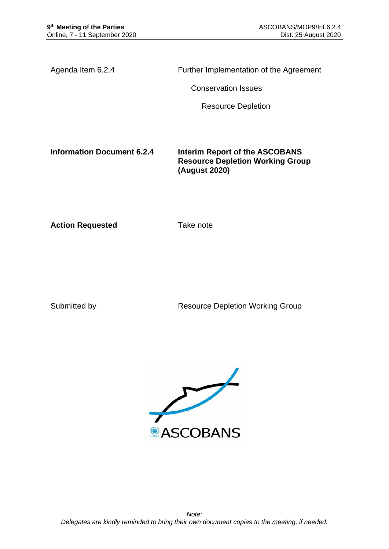Agenda Item 6.2.4 Further Implementation of the Agreement

Conservation Issues

Resource Depletion

**Information Document 6.2.4 Interim Report of the ASCOBANS Resource Depletion Working Group (August 2020)**

**Action Requested Take note** 

Submitted by **Resource Depletion Working Group** 

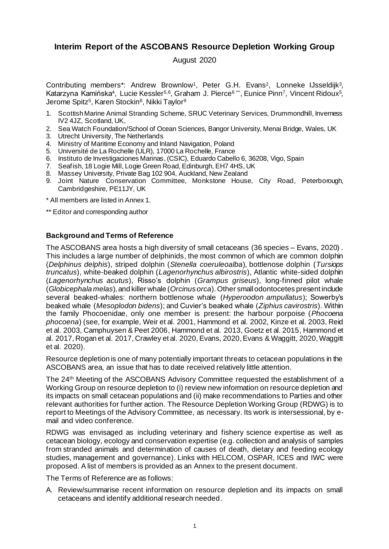# **Interim Report of the ASCOBANS Resource Depletion Working Group**

## August 2020

Contributing members\*: Andrew Brownlow<sup>1</sup>, Peter G.H. Evans<sup>2</sup>, Lonneke IJsseldijk<sup>3</sup>, Katarzyna Kamińska<sup>4</sup>, Lucie Kessler<sup>5,6</sup>, Graham J. Pierce<sup>6\*\*</sup>, Eunice Pinn<sup>7</sup>, Vincent Ridoux<sup>5</sup>, Jerome Spitz<sup>5</sup>, Karen Stockin<sup>8</sup>, Nikki Taylor<sup>9</sup>

- 1. Scottish Marine Animal Stranding Scheme, SRUC Veterinary Services, Drummondhill, Inverness IV2 4JZ, Scotland, UK,
- 2. Sea Watch Foundation/School of Ocean Sciences, Bangor University, Menai Bridge, Wales, UK
- 3. Utrecht University, The Netherlands
- 4. Ministry of Maritime Economy and Inland Navigation, Poland
- 5. Université de La Rochelle (ULR), 17000 La Rochelle, France
- 6. Instituto de Investigaciones Marinas, (CSIC), Eduardo Cabello 6, 36208, Vigo, Spain
- 7. Seafish, 18 Logie Mill, Logie Green Road, Edinburgh, EH7 4HS, UK
- 8. Massey University, Private Bag 102 904, Auckland, New Zealand
- 9. Joint Nature Conservation Committee, Monkstone House, City Road, Peterborough, Cambridgeshire, PE11JY, UK
- \* All members are listed in Annex 1.
- \*\* Editor and corresponding author

### **Background and Terms of Reference**

The ASCOBANS area hosts a high diversity of small cetaceans (36 species – Evans, 2020) . This includes a large number of delphinids, the most common of which are common dolphin (*Delphinus delphis*), striped dolphin (*Stenella coeruleoalba*), bottlenose dolphin (*Tursiops truncatus*), white-beaked dolphin (*Lagenorhynchus albirostris*), Atlantic white-sided dolphin (*Lagenorhynchus acutus*), Risso's dolphin (*Grampus griseus*), long-finned pilot whale (*Globicephala melas*), and killer whale (*Orcinus orca*). Other small odontocetes present include several beaked-whales: northern bottlenose whale (*Hyperoodon ampullatus*); Sowerby's beaked whale (*Mesoplodon bidens*); and Cuvier's beaked whale (*Ziphius cavirostris*). Within the family Phocoenidae, only one member is present: the harbour porpoise (*Phocoena phocoena*) (see, for example, Weir et al. 2001, Hammond et al. 2002, Kinze et al. 2003, Reid et al. 2003, Camphuysen & Peet 2006, Hammond et al. 2013, Goetz et al. 2015, Hammond et al. 2017, Rogan et al. 2017, Crawley et al. 2020, Evans, 2020, Evans & Waggitt, 2020, Waggitt et al. 2020).

Resource depletion is one of many potentially important threats to cetacean populations in the ASCOBANS area, an issue that has to date received relatively little attention.

The 24th Meeting of the ASCOBANS Advisory Committee requested the establishment of a Working Group on resource depletion to (i) review new information on resource depletion and its impacts on small cetacean populations and (ii) make recommendations to Parties and other relevant authorities for further action. The Resource Depletion Working Group (RDWG) is to report to Meetings of the Advisory Committee, as necessary. Its work is intersessional, by email and video conference.

RDWG was envisaged as including veterinary and fishery science expertise as well as cetacean biology, ecology and conservation expertise (e.g. collection and analysis of samples from stranded animals and determination of causes of death, dietary and feeding ecology studies, management and governance). Links with HELCOM, OSPAR, ICES and IWC were proposed. A list of members is provided as an Annex to the present document.

The Terms of Reference are as follows:

A. Review/summarise recent information on resource depletion and its impacts on small cetaceans and identify additional research needed.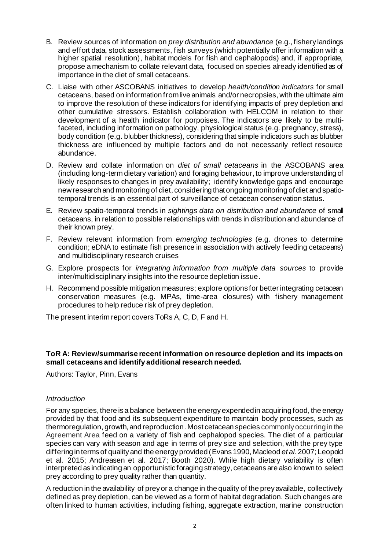- B. Review sources of information on *prey distribution and abundance* (e.g., fishery landings and effort data, stock assessments, fish surveys (which potentially offer information with a higher spatial resolution), habitat models for fish and cephalopods) and, if appropriate, propose a mechanism to collate relevant data, focused on species already identified as of importance in the diet of small cetaceans.
- C. Liaise with other ASCOBANS initiatives to develop *health/condition indicators* for small cetaceans, based on information from live animals and/or necropsies, with the ultimate aim to improve the resolution of these indicators for identifying impacts of prey depletion and other cumulative stressors. Establish collaboration with HELCOM in relation to their development of a health indicator for porpoises. The indicators are likely to be multifaceted, including information on pathology, physiological status (e.g. pregnancy, stress), body condition (e.g. blubber thickness), considering that simple indicators such as blubber thickness are influenced by multiple factors and do not necessarily reflect resource abundance.
- D. Review and collate information on *diet of small cetaceans* in the ASCOBANS area (including long-term dietary variation) and foraging behaviour, to improve understanding of likely responses to changes in prey availability; identify knowledge gaps and encourage new research and monitoring of diet, considering that ongoing monitoring of diet and spatiotemporal trends is an essential part of surveillance of cetacean conservation status.
- E. Review spatio-temporal trends in *sightings data on distribution and abundance* of small cetaceans, in relation to possible relationships with trends in distribution and abundance of their known prey.
- F. Review relevant information from *emerging technologies* (e.g. drones to determine condition; eDNA to estimate fish presence in association with actively feeding cetaceans) and multidisciplinary research cruises
- G. Explore prospects for *integrating information from multiple data sources* to provide inter/multidisciplinary insights into the resource depletion issue.
- H. Recommend possible mitigation measures; explore options for better integrating cetacean conservation measures (e.g. MPAs, time-area closures) with fishery management procedures to help reduce risk of prey depletion.

The present interim report covers ToRs A, C, D, F and H.

## **ToR A: Review/summarise recent information on resource depletion and its impacts on small cetaceans and identify additional research needed.**

Authors: Taylor, Pinn, Evans

### *Introduction*

For any species, there is a balance between the energy expended in acquiring food, the energy provided by that food and its subsequent expenditure to maintain body processes, such as thermoregulation, growth, and reproduction. Most cetacean species commonly occurring in the Agreement Area feed on a variety of fish and cephalopod species. The diet of a particular species can vary with season and age in terms of prey size and selection, with the prey type differing in terms of quality and the energy provided (Evans 1990, Macleod *et al*. 2007; Leopold et al. 2015; Andreasen et al. 2017; Booth 2020). While high dietary variability is often interpreted as indicating an opportunistic foraging strategy, cetaceans are also known to select prey according to prey quality rather than quantity.

A reduction in the availability of prey or a change in the quality of the prey available, collectively defined as prey depletion, can be viewed as a form of habitat degradation. Such changes are often linked to human activities, including fishing, aggregate extraction, marine construction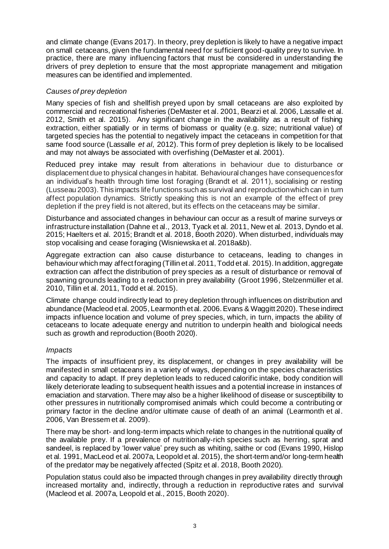and climate change (Evans 2017). In theory, prey depletion is likely to have a negative impact on small cetaceans, given the fundamental need for sufficient good-quality prey to survive. In practice, there are many influencing factors that must be considered in understanding the drivers of prey depletion to ensure that the most appropriate management and mitigation measures can be identified and implemented.

## *Causes of prey depletion*

Many species of fish and shellfish preyed upon by small cetaceans are also exploited by commercial and recreational fisheries (DeMaster et al. 2001, Bearzi et al. 2006, Lassalle et al. 2012, Smith et al. 2015). Any significant change in the availability as a result of fishing extraction, either spatially or in terms of biomass or quality (e.g. size; nutritional value) of targeted species has the potential to negatively impact the cetaceans in competition for that same food source (Lassalle *et al*, 2012). This form of prey depletion is likely to be localised and may not always be associated with overfishing (DeMaster et al. 2001).

Reduced prey intake may result from alterations in behaviour due to disturbance or displacement due to physical changes in habitat. Behavioural changes have consequences for an individual's health through time lost foraging (Brandt et al. 2011), socialising or resting (Lusseau 2003). This impacts life functions such as survival and reproduction which can in turn affect population dynamics. Strictly speaking this is not an example of the effect of prey depletion if the prey field is not altered, but its effects on the cetaceans may be similar.

Disturbance and associated changes in behaviour can occur as a result of marine surveys or infrastructure installation (Dahne et al., 2013, Tyack et al. 2011, New et al. 2013, Dyndo et al. 2015; Haelters et al. 2015; Brandt et al. 2018, Booth 2020). When disturbed, individuals may stop vocalising and cease foraging (Wisniewska et al. 2018a&b).

Aggregate extraction can also cause disturbance to cetaceans, leading to changes in behaviour which may affect foraging (Tillin et al. 2011, Todd et al. 2015). In addition, aggregate extraction can affect the distribution of prey species as a result of disturbance or removal of spawning grounds leading to a reduction in prey availability (Groot 1996, Stelzenmüller et al. 2010, Tillin et al. 2011, Todd et al. 2015).

Climate change could indirectly lead to prey depletion through influences on distribution and abundance (Macleod et al. 2005, Learmonth et al. 2006. Evans & Waggitt 2020). These indirect impacts influence location and volume of prey species, which, in turn, impacts the ability of cetaceans to locate adequate energy and nutrition to underpin health and biological needs such as growth and reproduction (Booth 2020).

### *Impacts*

The impacts of insufficient prey, its displacement, or changes in prey availability will be manifested in small cetaceans in a variety of ways, depending on the species characteristics and capacity to adapt. If prey depletion leads to reduced calorific intake, body condition will likely deteriorate leading to subsequent health issues and a potential increase in instances of emaciation and starvation. There may also be a higher likelihood of disease or susceptibility to other pressures in nutritionally compromised animals which could become a contributing or primary factor in the decline and/or ultimate cause of death of an animal (Learmonth et al. 2006, Van Bressem et al. 2009).

There may be short- and long-term impacts which relate to changes in the nutritional quality of the available prey. If a prevalence of nutritionally-rich species such as herring, sprat and sandeel, is replaced by 'lower value' prey such as whiting, saithe or cod (Evans 1990, Hislop et al. 1991, MacLeod et al. 2007a, Leopold et al. 2015), the short-term and/or long-term health of the predator may be negatively affected (Spitz et al. 2018, Booth 2020).

Population status could also be impacted through changes in prey availability directly through increased mortality and, indirectly, through a reduction in reproductive rates and survival (Macleod et al. 2007a, Leopold et al., 2015, Booth 2020).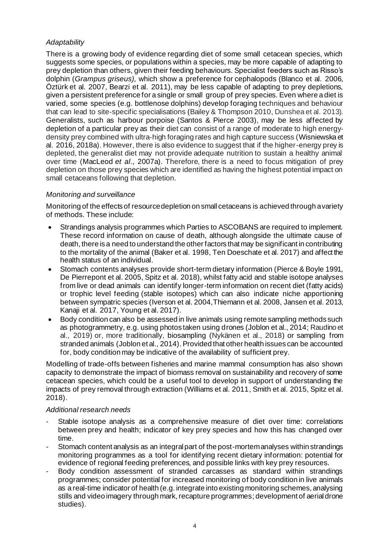## *Adaptability*

There is a growing body of evidence regarding diet of some small cetacean species, which suggests some species, or populations within a species, may be more capable of adapting to prey depletion than others, given their feeding behaviours. Specialist feeders such as Risso's dolphin (*Grampus griseus),* which show a preference for cephalopods (Blanco et al. 2006, Öztürk et al. 2007, Bearzi et al. 2011), may be less capable of adapting to prey depletions, given a persistent preference for a single or small group of prey species. Even where a diet is varied, some species (e.g. bottlenose dolphins) develop foraging techniques and behaviour that can lead to site-specific specialisations (Bailey & Thompson 2010, Dunshea et al. 2013). Generalists, such as harbour porpoise (Santos & Pierce 2003), may be less affected by depletion of a particular prey as their diet can consist of a range of moderate to high energydensity prey combined with ultra‐high foraging rates and high capture success (Wisniewska et al. 2016, 2018a). However, there is also evidence to suggest that if the higher-energy prey is depleted, the generalist diet may not provide adequate nutrition to sustain a healthy animal over time (MacLeod *et al*., 2007a). Therefore, there is a need to focus mitigation of prey depletion on those prey species which are identified as having the highest potential impact on small cetaceans following that depletion.

## *Monitoring and surveillance*

Monitoring of the effects of resource depletion on small cetaceans is achieved through a variety of methods. These include:

- Strandings analysis programmes which Parties to ASCOBANS are required to implement. These record information on cause of death, although alongside the ultimate cause of death, there is a need to understand the other factors that may be significant in contributing to the mortality of the animal (Baker et al. 1998, Ten Doeschate et al. 2017) and affect the health status of an individual.
- Stomach contents analyses provide short-term dietary information (Pierce & Boyle 1991, De Pierrepont et al. 2005, Spitz et al. 2018), whilst fatty acid and stable isotope analyses from live or dead animals can identify longer-term information on recent diet (fatty acids) or trophic level feeding (stable isotopes) which can also indicate niche apportioning between sympatric species (Iverson et al. 2004,Thiemann et al. 2008, Jansen et al. 2013, Kanaji et al. 2017, Young et al. 2017).
- Body condition can also be assessed in live animals using remote sampling methods such as photogrammetry, e.g. using photos taken using drones (Joblon et al., 2014; Raudino et al., 2019) or, more traditionally, biosampling (Nykänen et al., 2018) or sampling from stranded animals (Joblon et al., 2014). Provided that other health issues can be accounted for, body condition may be indicative of the availability of sufficient prey.

Modelling of trade-offs between fisheries and marine mammal consumption has also shown capacity to demonstrate the impact of biomass removal on sustainability and recovery of some cetacean species, which could be a useful tool to develop in support of understanding the impacts of prey removal through extraction (Williams et al. 2011, Smith et al. 2015, Spitz et al. 2018).

### *Additional research needs*

- Stable isotope analysis as a comprehensive measure of diet over time: correlations between prey and health; indicator of key prey species and how this has changed over time.
- Stomach content analysis as an integral part of the post-mortem analyses within strandings monitoring programmes as a tool for identifying recent dietary information: potential for evidence of regional feeding preferences, and possible links with key prey resources.
- Body condition assessment of stranded carcasses as standard within strandings programmes; consider potential for increased monitoring of body condition in live animals as a real-time indicator of health (e.g. integrate into existing monitoring schemes, analysing stills and video imagery through mark, recapture programmes; development of aerial drone studies).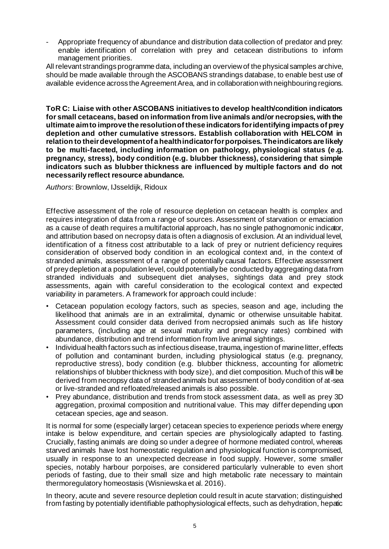- Appropriate frequency of abundance and distribution data collection of predator and prey: enable identification of correlation with prey and cetacean distributions to inform management priorities.

All relevant strandings programme data, including an overview of the physical samples archive, should be made available through the ASCOBANS strandings database, to enable best use of available evidence across the Agreement Area, and in collaboration with neighbouring regions.

**ToR C: Liaise with other ASCOBANS initiatives to develop health/condition indicators for small cetaceans, based on information from live animals and/or necropsies, with the ultimate aim to improve the resolution of these indicators for identifying impacts of prey depletion and other cumulative stressors. Establish collaboration with HELCOM in relation to their development of a health indicator for porpoises. The indicators are likely to be multi-faceted, including information on pathology, physiological status (e.g. pregnancy, stress), body condition (e.g. blubber thickness), considering that simple indicators such as blubber thickness are influenced by multiple factors and do not necessarily reflect resource abundance.**

*Authors*: Brownlow, IJsseldijk, Ridoux

Effective assessment of the role of resource depletion on cetacean health is complex and requires integration of data from a range of sources. Assessment of starvation or emaciation as a cause of death requires a multifactorial approach, has no single pathognomonic indicator, and attribution based on necropsy data is often a diagnosis of exclusion. At an individual level, identification of a fitness cost attributable to a lack of prey or nutrient deficiency requires consideration of observed body condition in an ecological context and, in the context of stranded animals, assessment of a range of potentially causal factors. Effective assessment of prey depletion at a population level, could potentially be conducted by aggregating data from stranded individuals and subsequent diet analyses, sightings data and prey stock assessments, again with careful consideration to the ecological context and expected variability in parameters. A framework for approach could include:

- Cetacean population ecology factors, such as species, season and age, including the likelihood that animals are in an extralimital, dynamic or otherwise unsuitable habitat. Assessment could consider data derived from necropsied animals such as life history parameters, (including age at sexual maturity and pregnancy rates) combined with abundance, distribution and trend information from live animal sightings.
- Individual health factors such as infectious disease, trauma, ingestion of marine litter, effects of pollution and contaminant burden, including physiological status (e.g. pregnancy, reproductive stress), body condition (e.g. blubber thickness, accounting for allometric relationships of blubber thickness with body size), and diet composition. Much of this will be derived from necropsy data of stranded animals but assessment of body condition of at-sea or live-stranded and refloated/released animals is also possible.
- Prey abundance, distribution and trends from stock assessment data, as well as prey 3D aggregation, proximal composition and nutritional value. This may differ depending upon cetacean species, age and season.

It is normal for some (especially larger) cetacean species to experience periods where energy intake is below expenditure, and certain species are physiologically adapted to fasting. Crucially, fasting animals are doing so under a degree of hormone mediated control, whereas starved animals have lost homeostatic regulation and physiological function is compromised, usually in response to an unexpected decrease in food supply. However, some smaller species, notably harbour porpoises, are considered particularly vulnerable to even short periods of fasting, due to their small size and high metabolic rate necessary to maintain thermoregulatory homeostasis (Wisniewska et al. 2016).

In theory, acute and severe resource depletion could result in acute starvation; distinguished from fasting by potentially identifiable pathophysiological effects, such as dehydration, hepatic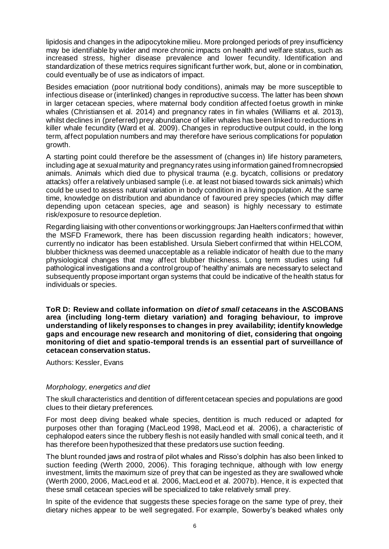lipidosis and changes in the adipocytokine milieu. More prolonged periods of prey insufficiency may be identifiable by wider and more chronic impacts on health and welfare status, such as increased stress, higher disease prevalence and lower fecundity. Identification and standardization of these metrics requires significant further work, but, alone or in combination, could eventually be of use as indicators of impact.

Besides emaciation (poor nutritional body conditions), animals may be more susceptible to infectious disease or (interlinked) changes in reproductive success. The latter has been shown in larger cetacean species, where maternal body condition affected foetus growth in minke whales (Christiansen et al. 2014) and pregnancy rates in fin whales (Williams et al. 2013), whilst declines in (preferred) prey abundance of killer whales has been linked to reductions in killer whale fecundity (Ward et al. 2009). Changes in reproductive output could, in the long term, affect population numbers and may therefore have serious complications for population growth.

A starting point could therefore be the assessment of (changes in) life history parameters, including age at sexual maturity and pregnancy rates using information gained from necropsied animals. Animals which died due to physical trauma (e.g. bycatch, collisions or predatory attacks) offer a relatively unbiased sample (i.e. at least not biased towards sick animals) which could be used to assess natural variation in body condition in a living population. At the same time, knowledge on distribution and abundance of favoured prey species (which may differ depending upon cetacean species, age and season) is highly necessary to estimate risk/exposure to resource depletion.

Regarding liaising with other conventions or working groups: Jan Haelters confirmed that within the MSFD Framework, there has been discussion regarding health indicators; however, currently no indicator has been established. Ursula Siebert confirmed that within HELCOM, blubber thickness was deemed unacceptable as a reliable indicator of health due to the many physiological changes that may affect blubber thickness. Long term studies using full pathological investigations and a control group of 'healthy' animals are necessary to select and subsequently propose important organ systems that could be indicative of the health status for individuals or species.

**ToR D: Review and collate information on** *diet of small cetaceans* **in the ASCOBANS area (including long-term dietary variation) and foraging behaviour, to improve understanding of likely responses to changes in prey availability; identify knowledge gaps and encourage new research and monitoring of diet, considering that ongoing monitoring of diet and spatio-temporal trends is an essential part of surveillance of cetacean conservation status.**

Authors: Kessler, Evans

### *Morphology, energetics and diet*

The skull characteristics and dentition of different cetacean species and populations are good clues to their dietary preferences.

For most deep diving beaked whale species, dentition is much reduced or adapted for purposes other than foraging (MacLeod 1998, MacLeod et al. 2006), a characteristic of cephalopod eaters since the rubbery flesh is not easily handled with small conical teeth, and it has therefore been hypothesized that these predators use suction feeding.

The blunt rounded jaws and rostra of pilot whales and Risso's dolphin has also been linked to suction feeding (Werth 2000, 2006). This foraging technique, although with low energy investment, limits the maximum size of prey that can be ingested as they are swallowed whole (Werth 2000, 2006, MacLeod et al. 2006, MacLeod et al. 2007b). Hence, it is expected that these small cetacean species will be specialized to take relatively small prey.

In spite of the evidence that suggests these species forage on the same type of prey, their dietary niches appear to be well segregated. For example, Sowerby's beaked whales only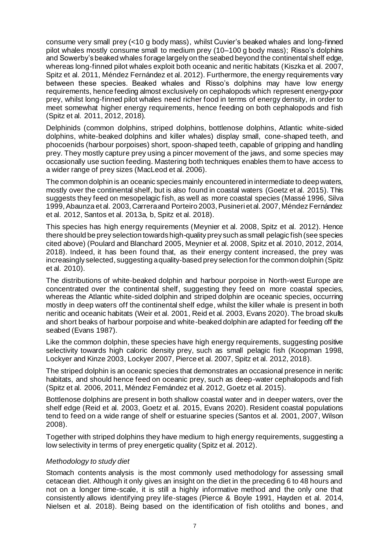consume very small prey (<10 g body mass), whilst Cuvier's beaked whales and long-finned pilot whales mostly consume small to medium prey (10–100 g body mass); Risso's dolphins and Sowerby's beaked whales forage largely on the seabed beyond the continental shelf edge, whereas long-finned pilot whales exploit both oceanic and neritic habitats (Kiszka et al. 2007, Spitz et al. 2011, Méndez Fernández et al. 2012). Furthermore, the energy requirements vary between these species. Beaked whales and Risso's dolphins may have low energy requirements, hence feeding almost exclusively on cephalopods which represent energy-poor prey, whilst long-finned pilot whales need richer food in terms of energy density, in order to meet somewhat higher energy requirements, hence feeding on both cephalopods and fish (Spitz et al. 2011, 2012, 2018).

Delphinids (common dolphins, striped dolphins, bottlenose dolphins, Atlantic white-sided dolphins, white-beaked dolphins and killer whales) display small, cone-shaped teeth, and phocoenids (harbour porpoises) short, spoon-shaped teeth, capable of gripping and handling prey. They mostly capture prey using a pincer movement of the jaws, and some species may occasionally use suction feeding. Mastering both techniques enables them to have access to a wider range of prey sizes (MacLeod et al. 2006).

The common dolphin is an oceanic species mainly encountered in intermediate to deep waters, mostly over the continental shelf, but is also found in coastal waters (Goetz et al. 2015). This suggests they feed on mesopelagic fish, as well as more coastal species (Massé 1996, Silva 1999, Abaunza et al. 2003, Carrera and Porteiro 2003, Pusineri et al. 2007, Méndez Fernández et al. 2012, Santos et al. 2013a, b, Spitz et al. 2018).

This species has high energy requirements (Meynier et al. 2008, Spitz et al. 2012). Hence there should be prey selection towards high-quality prey such as small pelagic fish (see species cited above) (Poulard and Blanchard 2005, Meynier et al. 2008, Spitz et al. 2010, 2012, 2014, 2018). Indeed, it has been found that, as their energy content increased, the prey was increasingly selected, suggesting a quality-based prey selection for the common dolphin (Spitz et al. 2010).

The distributions of white-beaked dolphin and harbour porpoise in North-west Europe are concentrated over the continental shelf, suggesting they feed on more coastal species, whereas the Atlantic white-sided dolphin and striped dolphin are oceanic species, occurring mostly in deep waters off the continental shelf edge, whilst the killer whale is present in both neritic and oceanic habitats (Weir et al. 2001, Reid et al. 2003, Evans 2020). The broad skulls and short beaks of harbour porpoise and white-beaked dolphin are adapted for feeding off the seabed (Evans 1987).

Like the common dolphin, these species have high energy requirements, suggesting positive selectivity towards high caloric density prey, such as small pelagic fish (Koopman 1998, Lockyer and Kinze 2003, Lockyer 2007, Pierce et al. 2007, Spitz et al. 2012, 2018).

The striped dolphin is an oceanic species that demonstrates an occasional presence in neritic habitats, and should hence feed on oceanic prey, such as deep-water cephalopods and fish (Spitz et al. 2006, 2011, Méndez Fernández et al. 2012, Goetz et al. 2015).

Bottlenose dolphins are present in both shallow coastal water and in deeper waters, over the shelf edge (Reid et al. 2003, Goetz et al. 2015, Evans 2020). Resident coastal populations tend to feed on a wide range of shelf or estuarine species (Santos et al. 2001, 2007, Wilson 2008).

Together with striped dolphins they have medium to high energy requirements, suggesting a low selectivity in terms of prey energetic quality (Spitz et al. 2012).

### *Methodology to study diet*

Stomach contents analysis is the most commonly used methodology for assessing small cetacean diet. Although it only gives an insight on the diet in the preceding 6 to 48 hours and not on a longer time-scale, it is still a highly informative method and the only one that consistently allows identifying prey life-stages (Pierce & Boyle 1991, Hayden et al. 2014, Nielsen et al. 2018). Being based on the identification of fish otoliths and bones , and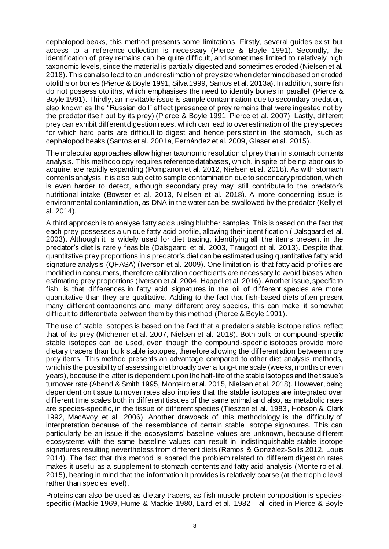cephalopod beaks, this method presents some limitations. Firstly, several guides exist but access to a reference collection is necessary (Pierce & Boyle 1991). Secondly, the identification of prey remains can be quite difficult, and sometimes limited to relatively high taxonomic levels, since the material is partially digested and sometimes eroded (Nielsen et al. 2018). This can also lead to an underestimation of prey size when determined based on eroded otoliths or bones (Pierce & Boyle 1991, Silva 1999, Santos et al. 2013a). In addition, some fish do not possess otoliths, which emphasises the need to identify bones in parallel (Pierce & Boyle 1991). Thirdly, an inevitable issue is sample contamination due to secondary predation, also known as the "Russian doll" effect (presence of prey remains that were ingested not by the predator itself but by its prey) (Pierce & Boyle 1991, Pierce et al. 2007). Lastly, different prey can exhibit different digestion rates, which can lead to overestimation of the prey species for which hard parts are difficult to digest and hence persistent in the stomach, such as cephalopod beaks (Santos et al. 2001a, Fernández et al. 2009, Glaser et al. 2015).

The molecular approaches allow higher taxonomic resolution of prey than in stomach contents analysis. This methodology requires reference databases, which, in spite of being laborious to acquire, are rapidly expanding (Pompanon et al. 2012, Nielsen et al. 2018). As with stomach contents analysis, it is also subject to sample contamination due to secondary predation, which is even harder to detect, although secondary prey may still contribute to the predator's nutritional intake (Bowser et al. 2013, Nielsen et al. 2018). A more concerning issue is environmental contamination, as DNA in the water can be swallowed by the predator (Kelly et al. 2014).

A third approach is to analyse fatty acids using blubber samples. This is based on the fact that each prey possesses a unique fatty acid profile, allowing their identification (Dalsgaard et al. 2003). Although it is widely used for diet tracing, identifying all the items present in the predator's diet is rarely feasible (Dalsgaard et al. 2003, Traugott et al. 2013). Despite that, quantitative prey proportions in a predator's diet can be estimated using quantitative fatty acid signature analysis (QFASA) (Iverson et al. 2009). One limitation is that fatty acid profiles are modified in consumers, therefore calibration coefficients are necessary to avoid biases when estimating prey proportions (Iverson et al. 2004, Happel et al. 2016). Another issue, specific to fish, is that differences in fatty acid signatures in the oil of different species are more quantitative than they are qualitative. Adding to the fact that fish-based diets often present many different components and many different prey species, this can make it somewhat difficult to differentiate between them by this method (Pierce & Boyle 1991).

The use of stable isotopes is based on the fact that a predator's stable isotope ratios reflect that of its prey (Michener et al. 2007, Nielsen et al. 2018). Both bulk or compound-specific stable isotopes can be used, even though the compound-specific isotopes provide more dietary tracers than bulk stable isotopes, therefore allowing the differentiation between more prey items. This method presents an advantage compared to other diet analysis methods, which is the possibility of assessing diet broadly over a long-time scale (weeks, months or even years), because the latter is dependent upon the half-life of the stable isotopes and the tissue's turnover rate (Abend & Smith 1995, Monteiro et al. 2015, Nielsen et al. 2018). However, being dependent on tissue turnover rates also implies that the stable isotopes are integrated over different time scales both in different tissues of the same animal and also, as metabolic rates are species-specific, in the tissue of different species (Tieszen et al. 1983, Hobson & Clark 1992, MacAvoy et al. 2006). Another drawback of this methodology is the difficulty of interpretation because of the resemblance of certain stable isotope signatures. This can particularly be an issue if the ecosystems' baseline values are unknown, because different ecosystems with the same baseline values can result in indistinguishable stable isotope signatures resulting nevertheless from different diets (Ramos & González-Solís 2012, Louis 2014). The fact that this method is spared the problem related to different digestion rates makes it useful as a supplement to stomach contents and fatty acid analysis (Monteiro et al. 2015), bearing in mind that the information it provides is relatively coarse (at the trophic level rather than species level).

Proteins can also be used as dietary tracers, as fish muscle protein composition is speciesspecific (Mackie 1969, Hume & Mackie 1980, Laird et al. 1982 – all cited in Pierce & Boyle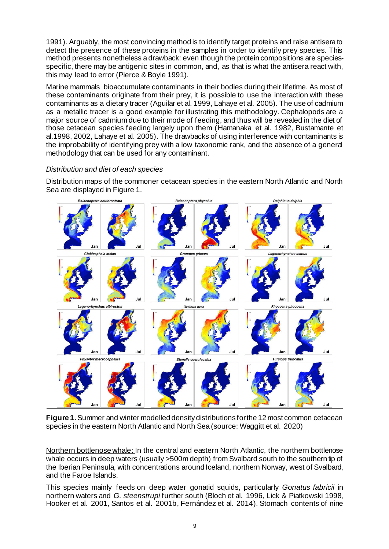1991). Arguably, the most convincing method is to identify target proteins and raise antisera to detect the presence of these proteins in the samples in order to identify prey species. This method presents nonetheless a drawback: even though the protein compositions are speciesspecific, there may be antigenic sites in common, and, as that is what the antisera react with, this may lead to error (Pierce & Boyle 1991).

Marine mammals bioaccumulate contaminants in their bodies during their lifetime. As most of these contaminants originate from their prey, it is possible to use the interaction with these contaminants as a dietary tracer (Aguilar et al. 1999, Lahaye et al. 2005). The use of cadmium as a metallic tracer is a good example for illustrating this methodology. Cephalopods are a major source of cadmium due to their mode of feeding, and thus will be revealed in the diet of those cetacean species feeding largely upon them (Hamanaka et al. 1982, Bustamante et al.1998, 2002, Lahaye et al. 2005). The drawbacks of using interference with contaminants is the improbability of identifying prey with a low taxonomic rank, and the absence of a general methodology that can be used for any contaminant.

## *Distribution and diet of each species*

Distribution maps of the commoner cetacean species in the eastern North Atlantic and North Sea are displayed in Figure 1.



**Figure 1.** Summer and winter modelled density distributions for the 12 most common cetacean species in the eastern North Atlantic and North Sea (source: Waggitt et al. 2020)

Northern bottlenose whale: In the central and eastern North Atlantic, the northern bottlenose whale occurs in deep waters (usually >500m depth) from Svalbard south to the southern tip of the Iberian Peninsula, with concentrations around Iceland, northern Norway, west of Svalbard, and the Faroe Islands.

This species mainly feeds on deep water gonatid squids, particularly *Gonatus fabricii* in northern waters and *G. steenstrupi* further south (Bloch et al. 1996, Lick & Piatkowski 1998, Hooker et al. 2001, Santos et al. 2001b, Fernández et al. 2014). Stomach contents of nine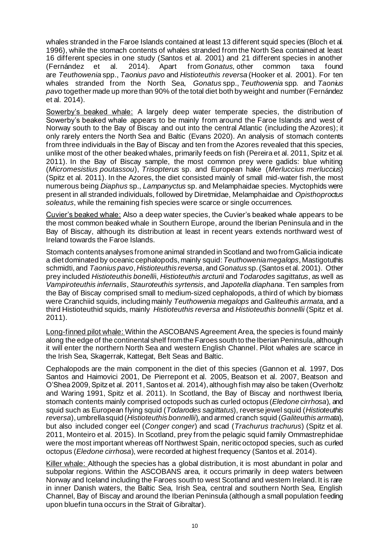whales stranded in the Faroe Islands contained at least 13 different squid species (Bloch et al. 1996), while the stomach contents of whales stranded from the North Sea contained at least 16 different species in one study (Santos et al. 2001) and 21 different species in another (Fernández et al. 2014). Apart from *Gonatus,* other common taxa found are *Teuthowenia* spp., *Taonius pavo* and *Histioteuthis reversa* (Hooker et al. 2001). For ten whales stranded from the North Sea, *Gonatus* spp., *Teuthowenia* spp. and *Taonius pavo* together made up more than 90% of the total diet both by weight and number (Fernández et al. 2014).

Sowerby's beaked whale: A largely deep water temperate species, the distribution of Sowerby's beaked whale appears to be mainly from around the Faroe Islands and west of Norway south to the Bay of Biscay and out into the central Atlantic (including the Azores); it only rarely enters the North Sea and Baltic (Evans 2020). An analysis of stomach contents from three individuals in the Bay of Biscay and ten from the Azores revealed that this species, unlike most of the other beaked whales, primarily feeds on fish (Pereira et al. 2011, Spitz et al. 2011). In the Bay of Biscay sample, the most common prey were gadids: blue whiting (*Micromesistius poutassou*), *Trisopterus* sp. and European hake (*Merluccius merluccius*) (Spitz et al. 2011). In the Azores, the diet consisted mainly of small mid-water fish, the most numerous being *Diaphus* sp., *Lampanyctus* sp. and Melamphaidae species. Myctophids were present in all stranded individuals, followed by Diretmidae, Melamphaidae and *Opisthoproctus soleatus*, while the remaining fish species were scarce or single occurrences.

Cuvier's beaked whale: Also a deep water species, the Cuvier's beaked whale appears to be the most common beaked whale in Southern Europe, around the Iberian Peninsula and in the Bay of Biscay, although its distribution at least in recent years extends northward west of Ireland towards the Faroe Islands.

Stomach contents analyses from one animal stranded in Scotland and two from Galicia indicate a diet dominated by oceanic cephalopods, mainly squid:*Teuthowenia megalops*, Mastigotuthis schmidti, and *Taonius pavo*, *Histioteuthis reversa*, and *Gonatus* sp. (Santos et al. 2001). Other prey included *Histioteuthis bonelli*i, *Histioteuthis arcturii* and *Todarodes sagittatus*, as well as *Vampiroteuthis infernalis*, *Stauroteuthis syrtensis*, and *Japotella diaphana*. Ten samples from the Bay of Biscay comprised small to medium-sized cephalopods, a third of which by biomass were Cranchiid squids, including mainly *Teuthowenia megalops* and *Galiteuthis armata*, and a third Histioteuthid squids, mainly *Histioteuthis reversa* and *Histioteuthis bonnellii* (Spitz et al. 2011).

Long-finned pilot whale: Within the ASCOBANS Agreement Area, the species is found mainly along the edge of the continental shelf from the Faroes south to the Iberian Peninsula, although it will enter the northern North Sea and western English Channel. Pilot whales are scarce in the Irish Sea, Skagerrak, Kattegat, Belt Seas and Baltic.

Cephalopods are the main component in the diet of this species (Gannon et al. 1997, Dos Santos and Haimovici 2001, De Pierrepont et al. 2005, Beatson et al. 2007, Beatson and O'Shea 2009, Spitz et al. 2011, Santos et al. 2014), although fish may also be taken (Overholtz and Waring 1991, Spitz et al. 2011). In Scotland, the Bay of Biscay and northwest Iberia, stomach contents mainly comprised octopods such as curled octopus (*Eledone cirrhosa*), and squid such as European flying squid (*Todarodes sagittatus*), reverse jewel squid (*Histioteuthis reversa*), umbrella squid (*Histioteuthis bonnellii*), and armed cranch squid (*Galiteuthis armata*), but also included conger eel (*Conger conger*) and scad (*Trachurus trachurus*) (Spitz et al. 2011, Monteiro et al. 2015). In Scotland, prey from the pelagic squid family Ommastrephidae were the most important whereas off Northwest Spain, neritic octopod species, such as curled octopus (*Eledone cirrhosa*), were recorded at highest frequency (Santos et al. 2014).

Killer whale: Although the species has a global distribution, it is most abundant in polar and subpolar regions. Within the ASCOBANS area, it occurs primarily in deep waters between Norway and Iceland including the Faroes south to west Scotland and western Ireland. It is rare in inner Danish waters, the Baltic Sea, Irish Sea, central and southern North Sea, English Channel, Bay of Biscay and around the Iberian Peninsula (although a small population feeding upon bluefin tuna occurs in the Strait of Gibraltar).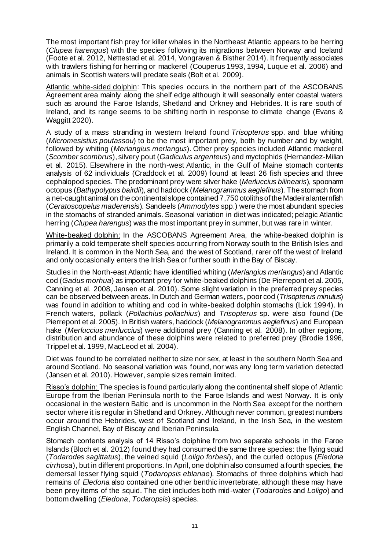The most important fish prey for killer whales in the Northeast Atlantic appears to be herring (*Clupea harengus*) with the species following its migrations between Norway and Iceland (Foote et al. 2012, Nøttestad et al. 2014, Vongraven & Bisther 2014). It frequently associates with trawlers fishing for herring or mackerel (Couperus 1993, 1994, Luque et al. 2006) and animals in Scottish waters will predate seals (Bolt et al. 2009).

Atlantic white-sided dolphin: This species occurs in the northern part of the ASCOBANS Agreement area mainly along the shelf edge although it will seasonally enter coastal waters such as around the Faroe Islands, Shetland and Orkney and Hebrides. It is rare south of Ireland, and its range seems to be shifting north in response to climate change (Evans & Waggitt 2020).

A study of a mass stranding in western Ireland found *Trisopterus* spp. and blue whiting (*Micromesistius poutassou*) to be the most important prey, both by number and by weight, followed by whiting (*Merlangius merlangus*). Other prey species included Atlantic mackerel (*Scomber scombrus*), silvery pout (*Gadiculus argenteus*) and myctophids (Hernandez-Milian et al. 2015). Elsewhere in the north-west Atlantic, in the Gulf of Maine stomach contents analysis of 62 individuals (Craddock et al. 2009) found at least 26 fish species and three cephalopod species. The predominant prey were silver hake (*Merluccius bilinearis*), spoonarm octopus (*Bathypolypus bairdii*), and haddock (*Melanogrammus aeglefinus*). The stomach from a net-caught animal on the continental slope contained 7,750 otoliths of the Madeira lanternfish (*Ceratoscopelus maderensis*). Sandeels (*Ammodytes* spp.) were the most abundant species in the stomachs of stranded animals. Seasonal variation in diet was indicated; pelagic Atlantic herring (*Clupea harengus*) was the most important prey in summer, but was rare in winter.

White-beaked dolphin: In the ASCOBANS Agreement Area, the white-beaked dolphin is primarily a cold temperate shelf species occurring from Norway south to the British Isles and Ireland. It is common in the North Sea, and the west of Scotland, rarer off the west of Ireland and only occasionally enters the Irish Sea or further south in the Bay of Biscay.

Studies in the North-east Atlantic have identified whiting (*Merlangius merlangus*) and Atlantic cod (*Gadus morhua*) as important prey for white-beaked dolphins (De Pierrepont et al. 2005, Canning et al. 2008, Jansen et al. 2010). Some slight variation in the preferred prey species can be observed between areas. In Dutch and German waters, poor cod (*Trisopterus minutus*) was found in addition to whiting and cod in white-beaked dolphin stomachs (Lick 1994). In French waters, pollack (*Pollachius pollachius*) and *Trisopterus* sp. were also found (De Pierrepont et al. 2005). In British waters, haddock (*Melanogrammus aeglefinus*) and European hake (*Merluccius merluccius*) were additional prey (Canning et al. 2008). In other regions, distribution and abundance of these dolphins were related to preferred prey (Brodie 1996, Trippel et al. 1999, MacLeod et al. 2004).

Diet was found to be correlated neither to size nor sex, at least in the southern North Sea and around Scotland. No seasonal variation was found, nor was any long term variation detected (Jansen et al. 2010). However, sample sizes remain limited.

Risso's dolphin: The species is found particularly along the continental shelf slope of Atlantic Europe from the Iberian Peninsula north to the Faroe Islands and west Norway. It is only occasional in the western Baltic and is uncommon in the North Sea except for the northern sector where it is regular in Shetland and Orkney. Although never common, greatest numbers occur around the Hebrides, west of Scotland and Ireland, in the Irish Sea, in the western English Channel, Bay of Biscay and Iberian Peninsula.

Stomach contents analysis of 14 Risso's doiphine from two separate schools in the Faroe Islands (Bloch et al. 2012) found they had consumed the same three species: the flying squid (*Todarodes sagittatus*), the veined squid (*Loligo forbesi*), and the curled octopus (*Eledona cirrhosa*), but in different proportions. In April, one dolphin also consumed a fourth species, the demersal lesser flying squid (*Todaropsis eblanae*). Stomachs of three dolphins which had remains of *Eledona* also contained one other benthic invertebrate, although these may have been prey items of the squid. The diet includes both mid-water (*Todarodes* and *Loligo*) and bottom dwelling (*Eledona*, *Todaropsis*) species.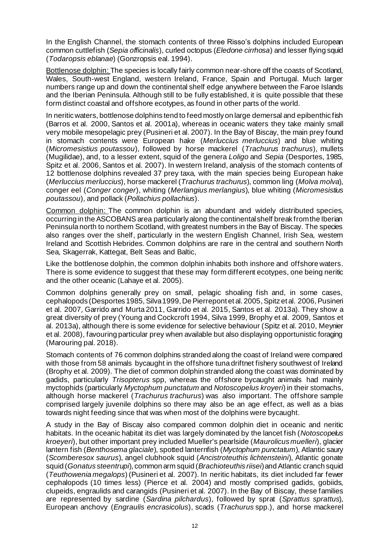In the English Channel, the stomach contents of three Risso's dolphins included European common cuttlefish (*Sepia officinalis*), curled octopus (*Eledone cirrhosa*) and lesser flying squid (*Todaropsis eblanae*) (Gonzropsis eal. 1994).

Bottlenose dolphin: The species is locally fairly common near-shore off the coasts of Scotland, Wales, South-west England, western Ireland, France, Spain and Portugal. Much larger numbers range up and down the continental shelf edge anywhere between the Faroe Islands and the Iberian Peninsula. Although still to be fully established, it is quite possible that these form distinct coastal and offshore ecotypes, as found in other parts of the world.

In neritic waters, bottlenose dolphins tend to feed mostly on large demersal and epibenthic fish (Barros et al. 2000, Santos et al. 2001a), whereas in oceanic waters they take mainly small very mobile mesopelagic prey (Pusineri et al. 2007). In the Bay of Biscay, the main prey found in stomach contents were European hake (*Merluccius merluccius*) and blue whiting (*Micromesistius poutassou*), followed by horse mackerel (*Trachurus trachurus*), mullets (Mugilidae), and, to a lesser extent, squid of the genera *Loligo* and *Sepia* (Desportes, 1985, Spitz et al. 2006, Santos et al. 2007). In western Ireland, analysis of the stomach contents of 12 bottlenose dolphins revealed 37 prey taxa, with the main species being European hake (*Merluccius merluccius*), horse mackerel (*Trachurus trachurus*), common ling (*Molva molva*), conger eel (*Conger conger*), whiting (*Merlangius merlangius*), blue whiting (*Micromesistius poutassou*), and pollack (*Pollachius pollachius*).

Common dolphin: The common dolphin is an abundant and widely distributed species, occurring in the ASCOBANS area particularly along the continental shelf break from the Iberian Peninsula north to northern Scotland, with greatest numbers in the Bay of Biscay. The species also ranges over the shelf, particularly in the western English Channel, Irish Sea, western Ireland and Scottish Hebrides. Common dolphins are rare in the central and southern North Sea, Skagerrak, Kattegat, Belt Seas and Baltic,

Like the bottlenose dolphin, the common dolphin inhabits both inshore and offshore waters. There is some evidence to suggest that these may form different ecotypes, one being neritic and the other oceanic (Lahaye et al. 2005).

Common dolphins generally prey on small, pelagic shoaling fish and, in some cases, cephalopods (Desportes 1985, Silva 1999, De Pierrepont et al. 2005, Spitz et al. 2006, Pusineri et al. 2007, Garrido and Murta 2011, Garrido et al. 2015, Santos et al. 2013a). They show a great diversity of prey (Young and Cockcroft 1994, Silva 1999, Brophy et al. 2009, Santos et al. 2013a), although there is some evidence for selective behaviour (Spitz et al. 2010, Meynier et al. 2008), favouring particular prey when available but also displaying opportunistic foraging (Marouring pal. 2018).

Stomach contents of 76 common dolphins stranded along the coast of Ireland were compared with those from 58 animals bycaught in the offshore tuna driftnet fishery southwest of Ireland (Brophy et al. 2009). The diet of common dolphin stranded along the coast was dominated by gadids, particularly *Trisopterus* spp, whereas the offshore bycaught animals had mainly myctophids (particularly *Myctophum punctatum* and *Notoscopelus kroyeri*) in their stomachs, although horse mackerel (*Trachurus trachurus*) was also important. The offshore sample comprised largely juvenile dolphins so there may also be an age effect, as well as a bias towards night feeding since that was when most of the dolphins were bycaught.

A study in the Bay of Biscay also compared common dolphin diet in oceanic and neritic habitats. In the oceanic habitat its diet was largely dominated by the lancet fish (*Notoscopelus kroeyeri*), but other important prey included Mueller's pearlside (*Maurolicus muelleri*), glacier lantern fish (*Benthosema glaciale*), spotted lanternfish (*Myctophum punctatum*), Atlantic saury (*Scomberesox saurus*), angel clubhook squid (*Ancistroteuthis lichtensteini*), Atlantic gonate squid (*Gonatus steentrupi*), common arm squid (*Brachioteuthis riisei*)and Atlantic cranch squid (*Teuthowenia megalops*) (Pusineri et al. 2007). In neritic habitats, its diet included far fewer cephalopods (10 times less) (Pierce et al. 2004) and mostly comprised gadids, gobiids, clupeids, engraulids and carangids (Pusineri et al. 2007). In the Bay of Biscay, these families are represented by sardine (*Sardina pilchardus*), followed by sprat (*Sprattus sprattus*), European anchovy (*Engraulis encrasicolus*), scads (*Trachurus* spp.), and horse mackerel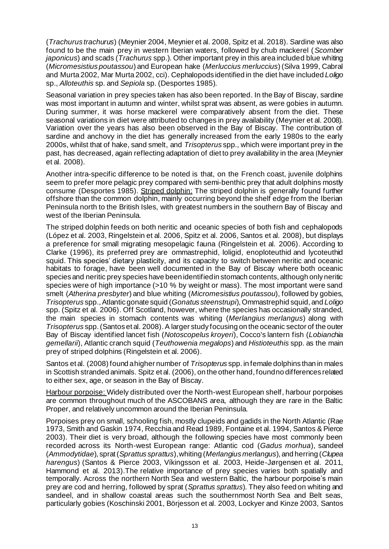(*Trachurus trachurus*) (Meynier 2004, Meynier et al. 2008, Spitz et al. 2018). Sardine was also found to be the main prey in western Iberian waters, followed by chub mackerel (*Scomber japonicus*) and scads (*Trachurus* spp.). Other important prey in this area included blue whiting (*Micromesistius poutassou*) and European hake (*Merluccius merluccius*) (Silva 1999, Cabral and Murta 2002, Mar Murta 2002, cci). Cephalopods identified in the diet have included *Loligo* sp., *Alloteuthis* sp. and *Sepiola* sp. (Desportes 1985).

Seasonal variation in prey species taken has also been reported. In the Bay of Biscay, sardine was most important in autumn and winter, whilst sprat was absent, as were gobies in autumn. During summer, it was horse mackerel were comparatively absent from the diet. These seasonal variations in diet were attributed to changes in prey availability (Meynier et al. 2008). Variation over the years has also been observed in the Bay of Biscay. The contribution of sardine and anchovy in the diet has generally increased from the early 1980s to the early 2000s, whilst that of hake, sand smelt, and *Trisopterus* spp., which were important prey in the past, has decreased, again reflecting adaptation of diet to prey availability in the area (Meynier et al. 2008).

Another intra-specific difference to be noted is that, on the French coast, juvenile dolphins seem to prefer more pelagic prey compared with semi-benthic prey that adult dolphins mostly consume (Desportes 1985). Striped dolphin: The striped dolphin is generally found further offshore than the common dolphin, mainly occurring beyond the shelf edge from the Iberian Peninsula north to the British Isles, with greatest numbers in the southern Bay of Biscay and west of the Iberian Peninsula.

The striped dolphin feeds on both neritic and oceanic species of both fish and cephalopods (López et al. 2003, Ringelstein et al. 2006, Spitz et al. 2006, Santos et al. 2008), but displays a preference for small migrating mesopelagic fauna (Ringelstein et al. 2006). According to Clarke (1996), its preferred prey are ommastrephid, loligid, enoploteuthid and lycoteuthid squid. This species' dietary plasticity, and its capacity to switch between neritic and oceanic habitats to forage, have been well documented in the Bay of Biscay where both oceanic species and neritic prey species have been identified in stomach contents, although only neritic species were of high importance (>10 % by weight or mass). The most important were sand smelt (*Atherina presbyter*) and blue whiting (*Micromesistius poutassou*), followed by gobies, *Trisopterus* spp., Atlantic gonate squid (*Gonatus steenstrupi*), Ommastrephid squid, and *Loligo* spp. (Spitz et al. 2006). Off Scotland, however, where the species has occasionally stranded, the main species in stomach contents was whiting (*Merlangius merlangus*) along with *Trisopterus* spp. (Santos et al. 2008). A larger study focusing on the oceanic sector of the outer Bay of Biscay identified lancet fish (*Notoscopelus kroyeri*), Cocco's lantern fish (*Lobianchia gemellarii*), Atlantic cranch squid (*Teuthowenia megalops*) and *Histioteuthis* spp. as the main prey of striped dolphins (Ringelstein et al. 2006).

Santos et al. (2008) found a higher number of *Trisopterus* spp. in female dolphins than in males in Scottish stranded animals. Spitz et al. (2006), on the other hand, found no differences related to either sex, age, or season in the Bay of Biscay.

Harbour porpoise: Widely distributed over the North-west European shelf, harbour porpoises are common throughout much of the ASCOBANS area, although they are rare in the Baltic Proper, and relatively uncommon around the Iberian Peninsula.

Porpoises prey on small, schooling fish, mostly clupeids and gadids in the North Atlantic (Rae 1973, Smith and Gaskin 1974, Recchia and Read 1989, Fontaine et al. 1994, Santos & Pierce 2003). Their diet is very broad, although the following species have most commonly been recorded across its North-west European range: Atlantic cod (*Gadus morhua*), sandeel (*Ammodytidae*), sprat (*Sprattus sprattus*), whiting (*Merlangius merlangus*), and herring (*Clupea harengus*) (Santos & Pierce 2003, Víkingsson et al. 2003, Heide-Jørgensen et al. 2011, Hammond et al. 2013).The relative importance of prey species varies both spatially and temporally. Across the northern North Sea and western Baltic, the harbour porpoise's main prey are cod and herring, followed by sprat (*Sprattus sprattus*). They also feed on whiting and sandeel, and in shallow coastal areas such the southernmost North Sea and Belt seas, particularly gobies (Koschinski 2001, Börjesson et al. 2003, Lockyer and Kinze 2003, Santos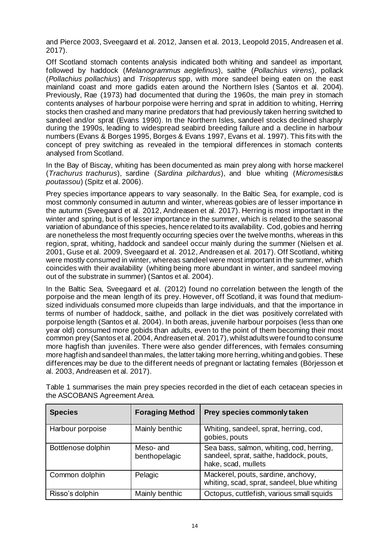and Pierce 2003, Sveegaard et al. 2012, Jansen et al. 2013, Leopold 2015, Andreasen et al. 2017).

Off Scotland stomach contents analysis indicated both whiting and sandeel as important, followed by haddock (*Melanogrammus aeglefinus*), saithe (*Pollachius virens*), pollack (*Pollachius pollachius*) and *Trisopterus* spp, with more sandeel being eaten on the east mainland coast and more gadids eaten around the Northern Isles (Santos et al. 2004). Previously, Rae (1973) had documented that during the 1960s, the main prey in stomach contents analyses of harbour porpoise were herring and sprat in addition to whiting, Herring stocks then crashed and many marine predators that had previously taken herring switched to sandeel and/or sprat (Evans 1990). In the Northern Isles, sandeel stocks declined sharply during the 1990s, leading to widespread seabird breeding failure and a decline in harbour numbers (Evans & Borges 1995, Borges & Evans 1997, Evans et al. 1997). This fits with the concept of prey switching as revealed in the tempioral differences in stomach contents analysed from Scotland.

In the Bay of Biscay, whiting has been documented as main prey along with horse mackerel (*Trachurus trachurus*), sardine (*Sardina pilchardus*), and blue whiting (*Micromesistius poutassou*) (Spitz et al. 2006).

Prey species importance appears to vary seasonally. In the Baltic Sea, for example, cod is most commonly consumed in autumn and winter, whereas gobies are of lesser importance in the autumn (Sveegaard et al. 2012, Andreasen et al. 2017). Herring is most important in the winter and spring, but is of lesser importance in the summer, which is related to the seasonal variation of abundance of this species, hence related to its availability. Cod, gobies and herring are nonetheless the most frequently occurring species over the twelve months, whereas in this region, sprat, whiting, haddock and sandeel occur mainly during the summer (Nielsen et al. 2001, Guse et al. 2009, Sveegaard et al. 2012, Andreasen et al. 2017). Off Scotland, whiting were mostly consumed in winter, whereas sandeel were most important in the summer, which coincides with their availability (whiting being more abundant in winter, and sandeel moving out of the substrate in summer) (Santos et al. 2004).

In the Baltic Sea, Sveegaard et al. (2012) found no correlation between the length of the porpoise and the mean length of its prey. However, off Scotland, it was found that mediumsized individuals consumed more clupeids than large individuals, and that the importance in terms of number of haddock, saithe, and pollack in the diet was positively correlated with porpoise length (Santos et al. 2004). In both areas, juvenile harbour porpoises (less than one year old) consumed more gobids than adults, even to the point of them becoming their most common prey (Santos et al. 2004, Andreasen et al. 2017), whilst adults were found to consume more hagfish than juveniles. There were also gender differences, with females consuming more hagfish and sandeel than males, the latter taking more herring, whiting and gobies. These differences may be due to the different needs of pregnant or lactating females (Börjesson et al. 2003, Andreasen et al. 2017).

| <b>Species</b>     | <b>Foraging Method</b>    | Prey species commonly taken                                                                                |
|--------------------|---------------------------|------------------------------------------------------------------------------------------------------------|
| Harbour porpoise   | Mainly benthic            | Whiting, sandeel, sprat, herring, cod,<br>gobies, pouts                                                    |
| Bottlenose dolphin | Meso-and<br>benthopelagic | Sea bass, salmon, whiting, cod, herring,<br>sandeel, sprat, saithe, haddock, pouts,<br>hake, scad, mullets |
| Common dolphin     | Pelagic                   | Mackerel, pouts, sardine, anchovy,<br>whiting, scad, sprat, sandeel, blue whiting                          |
| Risso's dolphin    | Mainly benthic            | Octopus, cuttlefish, various small squids                                                                  |

Table 1 summarises the main prey species recorded in the diet of each cetacean species in the ASCOBANS Agreement Area.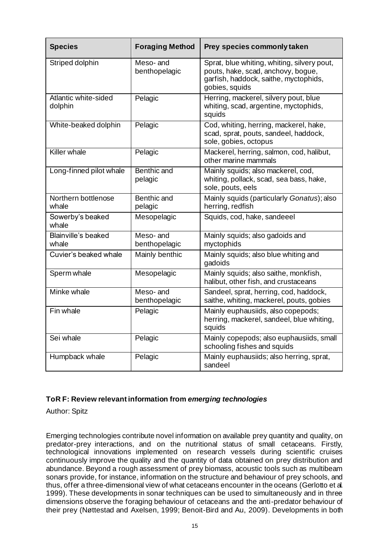| <b>Species</b>                  | <b>Foraging Method</b>    | Prey species commonly taken                                                                                                                  |
|---------------------------------|---------------------------|----------------------------------------------------------------------------------------------------------------------------------------------|
| Striped dolphin                 | Meso-and<br>benthopelagic | Sprat, blue whiting, whiting, silvery pout,<br>pouts, hake, scad, anchovy, bogue,<br>garfish, haddock, saithe, myctophids,<br>gobies, squids |
| Atlantic white-sided<br>dolphin | Pelagic                   | Herring, mackerel, silvery pout, blue<br>whiting, scad, argentine, myctophids,<br>squids                                                     |
| White-beaked dolphin            | Pelagic                   | Cod, whiting, herring, mackerel, hake,<br>scad, sprat, pouts, sandeel, haddock,<br>sole, gobies, octopus                                     |
| <b>Killer</b> whale             | Pelagic                   | Mackerel, herring, salmon, cod, halibut,<br>other marine mammals                                                                             |
| Long-finned pilot whale         | Benthic and<br>pelagic    | Mainly squids; also mackerel, cod,<br>whiting, pollack, scad, sea bass, hake,<br>sole, pouts, eels                                           |
| Northern bottlenose<br>whale    | Benthic and<br>pelagic    | Mainly squids (particularly Gonatus); also<br>herring, redfish                                                                               |
| Sowerby's beaked<br>whale       | Mesopelagic               | Squids, cod, hake, sandeeel                                                                                                                  |
| Blainville's beaked<br>whale    | Meso-and<br>benthopelagic | Mainly squids; also gadoids and<br>myctophids                                                                                                |
| Cuvier's beaked whale           | Mainly benthic            | Mainly squids; also blue whiting and<br>gadoids                                                                                              |
| Sperm whale                     | Mesopelagic               | Mainly squids; also saithe, monkfish,<br>halibut, other fish, and crustaceans                                                                |
| Minke whale                     | Meso-and<br>benthopelagic | Sandeel, sprat, herring, cod, haddock,<br>saithe, whiting, mackerel, pouts, gobies                                                           |
| Fin whale                       | Pelagic                   | Mainly euphausiids, also copepods;<br>herring, mackerel, sandeel, blue whiting,<br>squids                                                    |
| Sei whale                       | Pelagic                   | Mainly copepods; also euphausiids, small<br>schooling fishes and squids                                                                      |
| Humpback whale                  | Pelagic                   | Mainly euphausiids; also herring, sprat,<br>sandeel                                                                                          |

## **ToR F: Review relevant information from** *emerging technologies*

Author: Spitz

Emerging technologies contribute novel information on available prey quantity and quality, on predator-prey interactions, and on the nutritional status of small cetaceans. Firstly, technological innovations implemented on research vessels during scientific cruises continuously improve the quality and the quantity of data obtained on prey distribution and abundance. Beyond a rough assessment of prey biomass, acoustic tools such as multibeam sonars provide, for instance, information on the structure and behaviour of prey schools, and thus, offer a three-dimensional view of what cetaceans encounter in the oceans (Gerlotto et al*.* 1999). These developments in sonar techniques can be used to simultaneously and in three dimensions observe the foraging behaviour of cetaceans and the anti-predator behaviour of their prey (Nøttestad and Axelsen, 1999; Benoit-Bird and Au, 2009). Developments in both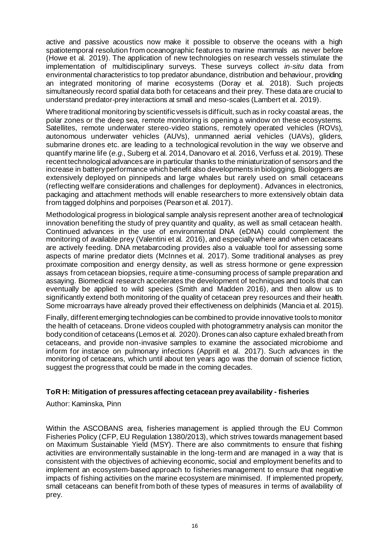active and passive acoustics now make it possible to observe the oceans with a high spatiotemporal resolution from oceanographic features to marine mammals as never before (Howe et al*.* 2019). The application of new technologies on research vessels stimulate the implementation of multidisciplinary surveys. These surveys collect *in-situ* data from environmental characteristics to top predator abundance, distribution and behaviour, providing an integrated monitoring of marine ecosystems (Doray et al*.* 2018). Such projects simultaneously record spatial data both for cetaceans and their prey. These data are crucial to understand predator-prey interactions at small and meso-scales (Lambert et al. 2019).

Where traditional monitoring by scientific vessels is difficult, such as in rocky coastal areas, the polar zones or the deep sea, remote monitoring is opening a window on these ecosystems. Satellites, remote underwater stereo-video stations, remotely operated vehicles (ROVs), autonomous underwater vehicles (AUVs), unmanned aerial vehicles (UAVs), gliders, submarine drones etc. are leading to a technological revolution in the way we observe and quantify marine life (*e.g.*, Suberg et al*.* 2014, Danovaro et al*.* 2016, Verfuss et al*.* 2019). These recent technological advances are in particular thanks to the miniaturization of sensors and the increase in battery performance which benefit also developments in biologging. Biologgers are extensively deployed on pinnipeds and large whales but rarely used on small cetaceans (reflecting welfare considerations and challenges for deployment). Advances in electronics, packaging and attachment methods will enable researchers to more extensively obtain data from tagged dolphins and porpoises (Pearson et al*.* 2017).

Methodological progress in biological sample analysis represent another area of technological innovation benefiting the study of prey quantity and quality, as well as small cetacean health. Continued advances in the use of environmental DNA (eDNA) could complement the monitoring of available prey (Valentini et al*.* 2016), and especially where and when cetaceans are actively feeding. DNA metabarcoding provides also a valuable tool for assessing some aspects of marine predator diets (McInnes et al. 2017). Some traditional analyses as prey proximate composition and energy density, as well as stress hormone or gene expression assays from cetacean biopsies, require a time-consuming process of sample preparation and assaying. Biomedical research accelerates the development of techniques and tools that can eventually be applied to wild species (Smith and Madden 2016), and then allow us to significantly extend both monitoring of the quality of cetacean prey resources and their health. Some microarrays have already proved their effectiveness on delphinids (Mancia et al*.* 2015).

Finally, different emerging technologies can be combined to provide innovative tools to monitor the health of cetaceans. Drone videos coupled with photogrammetry analysis can monitor the body condition of cetaceans (Lemos et al*.* 2020). Drones can also capture exhaled breath from cetaceans, and provide non-invasive samples to examine the associated microbiome and inform for instance on pulmonary infections (Apprill et al. 2017). Such advances in the monitoring of cetaceans, which until about ten years ago was the domain of science fiction, suggest the progress that could be made in the coming decades.

### **ToR H: Mitigation of pressures affecting cetacean prey availability - fisheries**

Author: Kaminska, Pinn

Within the ASCOBANS area, fisheries management is applied through the EU Common Fisheries Policy (CFP, EU Regulation 1380/2013), which strives towards management based on Maximum Sustainable Yield (MSY). There are also commitments to ensure that fishing activities are environmentally sustainable in the long‐term and are managed in a way that is consistent with the objectives of achieving economic, social and employment benefits and to implement an ecosystem-based approach to fisheries management to ensure that negative impacts of fishing activities on the marine ecosystem are minimised. If implemented properly, small cetaceans can benefit from both of these types of measures in terms of availability of prey.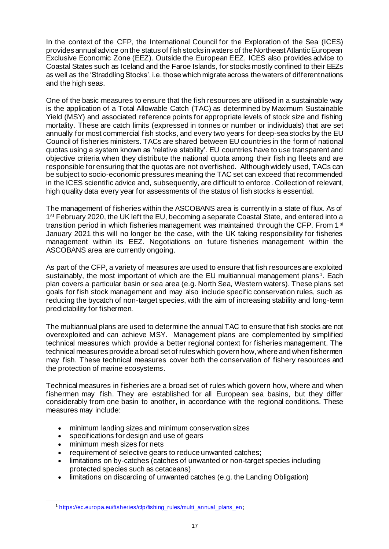In the context of the CFP, the International Council for the Exploration of the Sea (ICES) provides annual advice on the status of fish stocks in waters of the Northeast Atlantic European Exclusive Economic Zone (EEZ). Outside the European EEZ, ICES also provides advice to Coastal States such as Iceland and the Faroe Islands, for stocks mostly confined to their EEZs as well as the 'Straddling Stocks', i.e. those which migrate across the waters of different nations and the high seas.

One of the basic measures to ensure that the fish resources are utilised in a sustainable way is the application of a Total Allowable Catch (TAC) as determined by Maximum Sustainable Yield (MSY) and associated reference points for appropriate levels of stock size and fishing mortality. These are catch limits (expressed in tonnes or number or individuals) that are set annually for most commercial fish stocks, and every two years for deep-sea stocks by the EU Council of fisheries ministers. TACs are shared between EU countries in the form of national quotas using a system known as 'relative stability'. EU countries have to use transparent and objective criteria when they distribute the national quota among their fishing fleets and are responsible for ensuring that the quotas are not overfished. Although widely used, TACs can be subject to socio-economic pressures meaning the TAC set can exceed that recommended in the ICES scientific advice and, subsequently, are difficult to enforce. Collection of relevant, high quality data every year for assessments of the status of fish stocks is essential.

The management of fisheries within the ASCOBANS area is currently in a state of flux. As of 1<sup>st</sup> February 2020, the UK left the EU, becoming a separate Coastal State, and entered into a transition period in which fisheries management was maintained through the CFP. From 1<sup>st</sup> January 2021 this will no longer be the case, with the UK taking responsibility for fisheries management within its EEZ. Negotiations on future fisheries management within the ASCOBANS area are currently ongoing.

As part of the CFP, a variety of measures are used to ensure that fish resources are exploited sustainably, the most important of which are the EU multiannual management plans<sup>1</sup>. Each plan covers a particular basin or sea area (e.g. North Sea, Western waters). These plans set goals for fish stock management and may also include specific conservation rules, such as reducing the bycatch of non-target species, with the aim of increasing stability and long-term predictability for fishermen*.*

The multiannual plans are used to determine the annual TAC to ensure that fish stocks are not overexploited and can achieve MSY. Management plans are complemented by simplified technical measures which provide a better regional context for fisheries management. The technical measures provide a broad set of rules which govern how, where and when fishermen may fish. These technical measures cover both the conservation of fishery resources and the protection of marine ecosystems.

Technical measures in fisheries are a broad set of rules which govern how, where and when fishermen may fish. They are established for all European sea basins, but they differ considerably from one basin to another, in accordance with the regional conditions. These measures may include:

- minimum landing sizes and minimum conservation sizes
- specifications for design and use of gears
- minimum mesh sizes for nets
- requirement of selective gears to reduce unwanted catches;
- limitations on by-catches (catches of unwanted or non-target species including protected species such as cetaceans)
- limitations on discarding of unwanted catches (e.g. the Landing Obligation)

<sup>&</sup>lt;sup>1</sup> [https://ec.europa.eu/fisheries/cfp/fishing\\_rules/multi\\_annual\\_plans\\_en](https://ec.europa.eu/fisheries/cfp/fishing_rules/multi_annual_plans_en) ;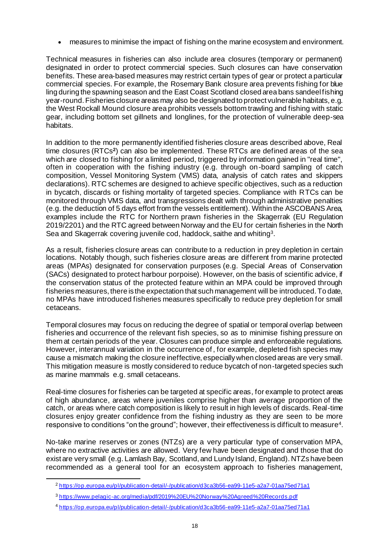• measures to minimise the impact of fishing on the marine ecosystem and environment.

Technical measures in fisheries can also include area closures (temporary or permanent) designated in order to protect commercial species. Such closures can have conservation benefits. These area-based measures may restrict certain types of gear or protect a particular commercial species. For example, the Rosemary Bank closure area prevents fishing for blue ling during the spawning season and the East Coast Scotland closed area bans sandeel fishing year-round. Fisheries closure areas may also be designated to protect vulnerable habitats, e.g. the West Rockall Mound closure area prohibits vessels bottom trawling and fishing with static gear, including bottom set gillnets and longlines, for the protection of vulnerable deep-sea habitats.

In addition to the more permanently identified fisheries closure areas described above, Real time closures (RTCs**<sup>2</sup>** ) can also be implemented. These RTCs are defined areas of the sea which are closed to fishing for a limited period, triggered by information gained in "real time". often in cooperation with the fishing industry (e.g. through on-board sampling of catch composition, Vessel Monitoring System (VMS) data, analysis of catch rates and skippers declarations). RTC schemes are designed to achieve specific objectives, such as a reduction in bycatch, discards or fishing mortality of targeted species. Compliance with RTCs can be monitored through VMS data, and transgressions dealt with through administrative penalties (e.g. the deduction of 5 days effort from the vessels entitlement). Within the ASCOBANS Area, examples include the RTC for Northern prawn fisheries in the Skagerrak (EU Regulation 2019/2201) and the RTC agreed between Norway and the EU for certain fisheries in the North Sea and Skagerrak covering juvenile cod, haddock, saithe and whiting<sup>3</sup>.

As a result, fisheries closure areas can contribute to a reduction in prey depletion in certain locations. Notably though, such fisheries closure areas are different from marine protected areas (MPAs) designated for conservation purposes (e.g. Special Areas of Conservation (SACs) designated to protect harbour porpoise). However, on the basis of scientific advice, if the conservation status of the protected feature within an MPA could be improved through fisheries measures, there is the expectation that such management will be introduced. To date, no MPAs have introduced fisheries measures specifically to reduce prey depletion for small cetaceans.

Temporal closures may focus on reducing the degree of spatial or temporal overlap between fisheries and occurrence of the relevant fish species, so as to minimise fishing pressure on them at certain periods of the year. Closures can produce simple and enforceable regulations. However, interannual variation in the occurrence of , for example, depleted fish species may cause a mismatch making the closure ineffective, especially when closed areas are very small. This mitigation measure is mostly considered to reduce bycatch of non-targeted species such as marine mammals e.g. small cetaceans.

Real-time closures for fisheries can be targeted at specific areas, for example to protect areas of high abundance, areas where juveniles comprise higher than average proportion of the catch, or areas where catch composition is likely to result in high levels of discards. Real-time closures enjoy greater confidence from the fishing industry as they are seen to be more responsive to conditions "on the ground"; however, their effectiveness is difficult to measure<sup>4</sup>.

No-take marine reserves or zones (NTZs) are a very particular type of conservation MPA, where no extractive activities are allowed. Very few have been designated and those that do exist are very small (e.g. Lamlash Bay, Scotland, and Lundy Island, England). NTZs have been recommended as a general tool for an ecosystem approach to fisheries management,

<sup>2</sup> <https://op.europa.eu/pl/publication-detail/-/publication/d3ca3b56-ea99-11e5-a2a7-01aa75ed71a1>

<sup>3</sup> <https://www.pelagic-ac.org/media/pdf/2019%20EU%20Norway%20Agreed%20Records.pdf>

<sup>4</sup> <https://op.europa.eu/pl/publication-detail/-/publication/d3ca3b56-ea99-11e5-a2a7-01aa75ed71a1>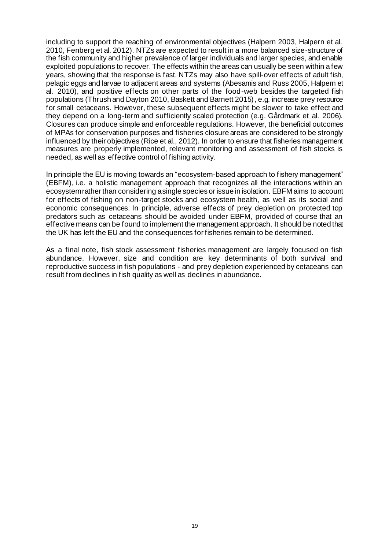including to support the reaching of environmental objectives (Halpern 2003, Halpern et al. 2010, Fenberg et al. 2012). NTZs are expected to result in a more balanced size-structure of the fish community and higher prevalence of larger individuals and larger species, and enable exploited populations to recover. The effects within the areas can usually be seen within a few years, showing that the response is fast. NTZs may also have spill-over effects of adult fish, pelagic eggs and larvae to adjacent areas and systems (Abesamis and Russ 2005, Halpern et al. 2010), and positive effects on other parts of the food-web besides the targeted fish populations (Thrush and Dayton 2010, Baskett and Barnett 2015), e.g. increase prey resource for small cetaceans. However, these subsequent effects might be slower to take effect and they depend on a long-term and sufficiently scaled protection (e.g. Gårdmark et al. 2006). Closures can produce simple and enforceable regulations. However, the beneficial outcomes of MPAs for conservation purposes and fisheries closure areas are considered to be strongly influenced by their objectives (Rice et al., 2012). In order to ensure that fisheries management measures are properly implemented, relevant monitoring and assessment of fish stocks is needed, as well as effective control of fishing activity.

In principle the EU is moving towards an "ecosystem-based approach to fishery management" (EBFM), i.e. a holistic management approach that recognizes all the interactions within an ecosystem rather than considering a single species or issue in isolation. EBFM aims to account for effects of fishing on non-target stocks and ecosystem health, as well as its social and economic consequences. In principle, adverse effects of prey depletion on protected top predators such as cetaceans should be avoided under EBFM, provided of course that an effective means can be found to implement the management approach. It should be noted that the UK has left the EU and the consequences for fisheries remain to be determined.

As a final note, fish stock assessment fisheries management are largely focused on fish abundance. However, size and condition are key determinants of both survival and reproductive success in fish populations - and prey depletion experienced by cetaceans can result from declines in fish quality as well as declines in abundance.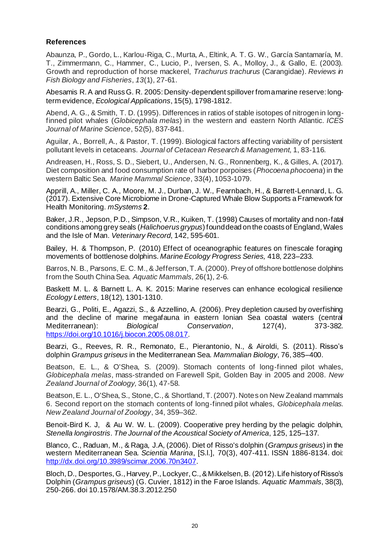## **References**

Abaunza, P., Gordo, L., Karlou-Riga, C., Murta, A., Eltink, A. T. G. W., García Santamaría, M. T., Zimmermann, C., Hammer, C., Lucio, P., Iversen, S. A., Molloy, J., & Gallo, E. (2003). Growth and reproduction of horse mackerel, *Trachurus trachurus* (Carangidae). *Reviews in Fish Biology and Fisheries*, *13*(1), 27-61.

Abesamis R. A and Russ G. R. 2005: Density‐dependent spillover from a marine reserve: long‐ term evidence, *Ecological Applications*, 15(5), 1798-1812.

Abend, A. G., & Smith, T. D. (1995). Differences in ratios of stable isotopes of nitrogen in longfinned pilot whales (*Globicephala melas*) in the western and eastern North Atlantic. *ICES Journal of Marine Science*, 52(5), 837-841.

Aguilar, A., Borrell, A., & Pastor, T. (1999). Biological factors affecting variability of persistent pollutant levels in cetaceans. *Journal of Cetacean Research & Management*, 1, 83-116.

Andreasen, H., Ross, S. D., Siebert, U., Andersen, N. G., Ronnenberg, K., & Gilles, A. (2017). Diet composition and food consumption rate of harbor porpoises (*Phocoena phocoena*) in the western Baltic Sea. *Marine Mammal Science*, 33(4), 1053-1079.

Apprill, A., Miller, C. A., Moore, M. J., Durban, J. W., Fearnbach, H., & Barrett-Lennard, L. G. (2017). Extensive Core Microbiome in Drone-Captured Whale Blow Supports a Framework for Health Monitoring. *mSystems* **2**.

Baker, J.R., Jepson, P.D., Simpson, V.R., Kuiken, T. (1998) Causes of mortality and non-fatal conditions among grey seals (*Halichoerus grypus*) found dead on the coasts of England, Wales and the Isle of Man. *Veterinary Record*, 142, 595-601.

Bailey, H. & Thompson, P. (2010) Effect of oceanographic features on finescale foraging movements of bottlenose dolphins. *Marine Ecology Progress Series,* 418, 223–233.

Barros, N. B., Parsons, E. C. M., & Jefferson, T. A. (2000). Prey of offshore bottlenose dolphins from the South China Sea. *Aquatic Mammals*, 26(1), 2-6.

Baskett M. L. & Barnett L. A. K. 2015: Marine reserves can enhance ecological resilience *Ecology Letters*, 18(12), 1301-1310.

Bearzi, G., Politi, E., Agazzi, S., & Azzellino, A. (2006). Prey depletion caused by overfishing and the decline of marine megafauna in eastern Ionian Sea coastal waters (central Mediterranean): *Biological Conservation*, 127(4), 373-382. <https://doi.org/10.1016/j.biocon.2005.08.017>.

Bearzi, G., Reeves, R. R., Remonato, E., Pierantonio, N., & Airoldi, S. (2011). Risso's dolphin *Grampus griseus* in the Mediterranean Sea. *Mammalian Biology*, 76, 385–400.

Beatson, E. L., & O'Shea, S. (2009). Stomach contents of long-finned pilot whales, *Globicephala melas*, mass‐stranded on Farewell Spit, Golden Bay in 2005 and 2008. *New Zealand Journal of Zoology,* 36(1), 47-58.

Beatson, E. L., O'Shea, S., Stone, C., & Shortland, T. (2007). Notes on New Zealand mammals 6. Second report on the stomach contents of long‐finned pilot whales, *Globicephala melas*. *New Zealand Journal of Zoology*, 34, 359–362.

Benoit-Bird K. J, & Au W. W. L. (2009). Cooperative prey herding by the pelagic dolphin, *Stenella longirostris*. *The Journal of the Acoustical Society of America*, 125, 125–137.

Blanco, C., Raduan, M., & Raga, J.A, (2006). Diet of Risso's dolphin (*Grampus griseus*) in the western Mediterranean Sea. *Scientia Marina*, [S.l.], 70(3), 407-411. ISSN 1886-8134. doi: <http://dx.doi.org/10.3989/scimar.2006.70n3407>.

Bloch, D., Desportes, G., Harvey, P., Lockyer, C., & Mikkelsen, B. (2012). Life history of Risso's Dolphin (*Grampus griseus*) (G. Cuvier, 1812) in the Faroe Islands. *Aquatic Mammals*, 38(3), 250-266. doi 10.1578/AM.38.3.2012.250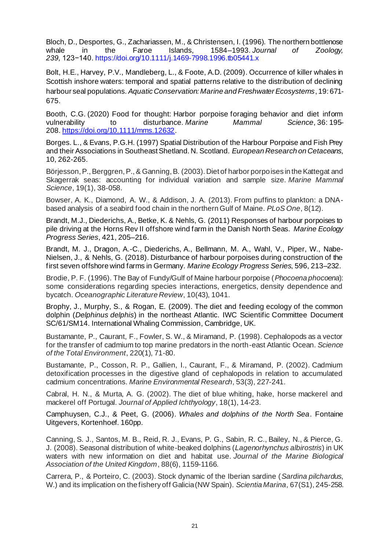Bloch, D., Desportes, G., Zachariassen, M., & Christensen, I. (1996). The northern bottlenose<br>whale in the Faroe Islands. 1584–1993. Journal of Zoology. whale in the Faroe Islands, 1584–1993. *Journal of Zoology, 239,* 123−140. <https://doi.org/10.1111/j.1469-7998.1996.tb05441.x>

Bolt, H.E., Harvey, P.V., Mandleberg, L., & Foote, A.D. (2009). Occurrence of killer whales in Scottish inshore waters: temporal and spatial patterns relative to the distribution of declining harbour seal populations. *Aquatic Conservation: Marine and Freshwater Ecosystems*, 19: 671- 675.

Booth, C.G. (2020) Food for thought: Harbor porpoise foraging behavior and diet inform vulnerability to disturbance. *Marine Mammal Science*, 36: 195- 208. <https://doi.org/10.1111/mms.12632>.

Borges. L., & Evans, P.G.H. (1997) Spatial Distribution of the Harbour Porpoise and Fish Prey and their Associations in Southeast Shetland. N. Scotland. *European Research on Cetaceans*, 10, 262-265.

Börjesson, P., Berggren, P., & Ganning, B. (2003). Diet of harbor porpoises in the Kattegat and Skagerrak seas: accounting for individual variation and sample size. *Marine Mammal Science*, 19(1), 38-058.

Bowser, A. K., Diamond, A. W., & Addison, J. A. (2013). From puffins to plankton: a DNAbased analysis of a seabird food chain in the northern Gulf of Maine. *PLoS One*, 8(12).

Brandt, M.J., Diederichs, A., Betke, K. & Nehls, G. (2011) Responses of harbour porpoises to pile driving at the Horns Rev II offshore wind farm in the Danish North Seas. *Marine Ecology Progress Series*, 421, 205–216.

Brandt, M. J., Dragon, A.-C., Diederichs, A., Bellmann, M. A., Wahl, V., Piper, W., Nabe-Nielsen, J., & Nehls, G. (2018). Disturbance of harbour porpoises during construction of the first seven offshore wind farms in Germany. *Marine Ecology Progress Series*, 596, 213–232.

Brodie, P. F. (1996). The Bay of Fundy/Gulf of Maine harbour porpoise (*Phocoena phocoena*): some considerations regarding species interactions, energetics, density dependence and bycatch. *Oceanographic Literature Review*, 10(43), 1041.

Brophy, J., Murphy, S., & Rogan, E. (2009). The diet and feeding ecology of the common dolphin (*Delphinus delphis*) in the northeast Atlantic. IWC Scientific Committee Document SC/61/SM14. International Whaling Commission, Cambridge, UK.

Bustamante, P., Caurant, F., Fowler, S. W., & Miramand, P. (1998). Cephalopods as a vector for the transfer of cadmium to top marine predators in the north-east Atlantic Ocean. *Science of the Total Environment*, 220(1), 71-80.

Bustamante, P., Cosson, R. P., Gallien, I., Caurant, F., & Miramand, P. (2002). Cadmium detoxification processes in the digestive gland of cephalopods in relation to accumulated cadmium concentrations. *Marine Environmental Research*, 53(3), 227-241.

Cabral, H. N., & Murta, A. G. (2002). The diet of blue whiting, hake, horse mackerel and mackerel off Portugal. *Journal of Applied Ichthyology*, 18(1), 14-23.

Camphuysen, C.J., & Peet, G. (2006). *Whales and dolphins of the North Sea*. Fontaine Uitgevers, Kortenhoef. 160pp.

Canning, S. J., Santos, M. B., Reid, R. J., Evans, P. G., Sabin, R. C., Bailey, N., & Pierce, G. J. (2008). Seasonal distribution of white-beaked dolphins (*Lagenorhynchus albirostris*) in UK waters with new information on diet and habitat use. *Journal of the Marine Biological Association of the United Kingdom*, 88(6), 1159-1166.

Carrera, P., & Porteiro, C. (2003). Stock dynamic of the Iberian sardine (*Sardina pilchardus*, W.) and its implication on the fishery off Galicia (NW Spain). *Scientia Marina*, 67(S1), 245-258.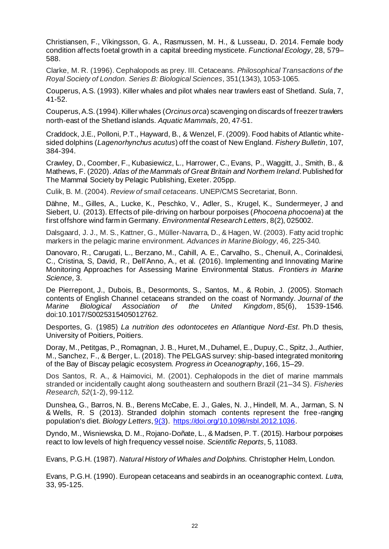Christiansen, F., Víkingsson, G. A., Rasmussen, M. H., & Lusseau, D. 2014. Female body condition affects foetal growth in a capital breeding mysticete. *Functional Ecology*, 28, 579– 588.

Clarke, M. R. (1996). Cephalopods as prey. III. Cetaceans. *Philosophical Transactions of the Royal Society of London. Series B: Biological Sciences*, 351(1343), 1053-1065.

Couperus, A.S. (1993). Killer whales and pilot whales near trawlers east of Shetland. *Sula*, 7, 41-52.

Couperus, A.S. (1994).Killer whales (*Orcinus orca*) scavenging on discards of freezer trawlers north-east of the Shetland islands. *Aquatic Mammals*, 20, 47-51.

Craddock, J.E., Polloni, P.T., Hayward, B., & Wenzel, F. (2009). Food habits of Atlantic whitesided dolphins (*Lagenorhynchus acutus*) off the coast of New England. *Fishery Bulletin*, 107, 384-394.

Crawley, D., Coomber, F., Kubasiewicz, L., Harrower, C., Evans, P., Waggitt, J., Smith, B., & Mathews, F. (2020). *Atlas of the Mammals of Great Britain and Northern Ireland*. Published for The Mammal Society by Pelagic Publishing, Exeter. 205pp.

Culik, B. M. (2004). *Review of small cetaceans*. UNEP/CMS Secretariat, Bonn.

Dähne, M., Gilles, A., Lucke, K., Peschko, V., Adler, S., Krugel, K., Sundermeyer, J and Siebert, U. (2013). Effects of pile-driving on harbour porpoises (*Phocoena phocoena*) at the first offshore wind farm in Germany. *Environmental Research Letters*, 8(2), 025002.

Dalsgaard, J. J., M. S., Kattner, G., Müller-Navarra, D., & Hagen, W. (2003). Fatty acid trophic markers in the pelagic marine environment. *Advances in Marine Biology*, 46, 225-340.

Danovaro, R., Carugati, L., Berzano, M., Cahill, A. E., Carvalho, S., Chenuil, A., Corinaldesi, C., Cristina, S, David, R., Dell'Anno, A., et al. (2016). Implementing and Innovating Marine Monitoring Approaches for Assessing Marine Environmental Status. *Frontiers in Marine Science,* 3.

De Pierrepont, J., Dubois, B., Desormonts, S., Santos, M., & Robin, J. (2005). Stomach contents of English Channel cetaceans stranded on the coast of Normandy. *Journal of the Marine Biological Association of the United Kingdom*, 85(6), 1539-1546. doi:10.1017/S0025315405012762.

Desportes, G. (1985) *La nutrition des odontocetes en Atlantique Nord-Est*. Ph.D thesis, University of Poitiers, Poitiers.

Doray, M., Petitgas, P., Romagnan, J. B., Huret, M., Duhamel, E., Dupuy, C., Spitz, J., Authier, M., Sanchez, F., & Berger, L. (2018). The PELGAS survey: ship-based integrated monitoring of the Bay of Biscay pelagic ecosystem. *Progress in Oceanography*, 166, 15–29.

Dos Santos, R. A., & Haimovici, M. (2001). Cephalopods in the diet of marine mammals stranded or incidentally caught along southeastern and southern Brazil (21–34 S). *Fisheries Research, 52*(1-2), 99-112.

Dunshea, G., Barros, N. B., Berens McCabe, E. J., Gales, N. J., Hindell, M. A., Jarman, S. N & Wells, R. S (2013). Stranded dolphin stomach contents represent the free-ranging population's diet. *Biology Letters*, [9\(3](file:///C:/Users/jenny.renell/Documents/working%20groups/Resource%20depletion/9(3)).<https://doi.org/10.1098/rsbl.2012.1036>.

Dyndo, M., Wisniewska, D. M., Rojano-Doñate, L., & Madsen, P. T. (2015). Harbour porpoises react to low levels of high frequency vessel noise. *Scientific Reports*, 5, 11083.

Evans, P.G.H. (1987). *Natural History of Whales and Dolphins.* Christopher Helm, London.

Evans, P.G.H. (1990). European cetaceans and seabirds in an oceanographic context. *Lutra*, 33, 95-125.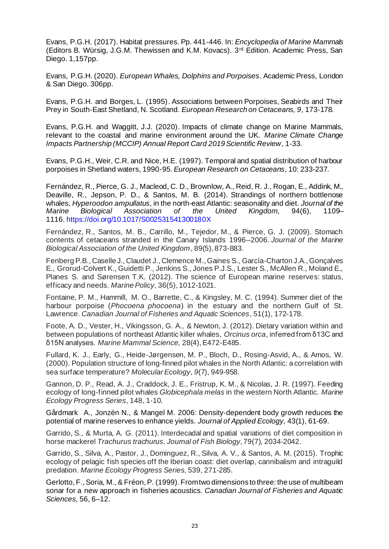Evans, P.G.H. (2017). Habitat pressures. Pp. 441-446. In: *Encyclopedia of Marine Mammals* (Editors B. Würsig, J.G.M. Thewissen and K.M. Kovacs). 3rd Edition. Academic Press, San Diego. 1,157pp.

Evans, P.G.H. (2020). *European Whales, Dolphins and Porpoises*. Academic Press, London & San Diego. 306pp.

Evans, P.G.H. and Borges, L. (1995). Associations between Porpoises, Seabirds and Their Prey in South-East Shetland, N. Scotland. *European Research on Cetaceans, 9*, 173-178.

Evans, P.G.H. and Waggitt, J.J. (2020). Impacts of climate change on Marine Mammals, relevant to the coastal and marine environment around the UK. *Marine Climate Change Impacts Partnership (MCCIP) Annual Report Card 2019 Scientific Review*, 1-33.

Evans, P.G.H., Weir, C.R. and Nice, H.E. (1997). Temporal and spatial distribution of harbour porpoises in Shetland waters, 1990-95. *European Research on Cetaceans*, 10: 233-237.

Fernández, R., Pierce, G. J., Macleod, C. D., Brownlow, A., Reid, R. J., Rogan, E., Addink, M., Deaville, R., Jepson, P. D., & Santos, M. B. (2014). Strandings of northern bottlenose whales, *Hyperoodon ampullatus*, in the north-east Atlantic: seasonality and diet. *Journal of the Marine Biological Association of the United Kingdom,* 94(6), 1109– 1116. <https://doi.org/10.1017/S002531541300180X>

Fernández, R., Santos, M. B., Carrillo, M., Tejedor, M., & Pierce, G. J. (2009). Stomach contents of cetaceans stranded in the Canary Islands 1996–2006. *Journal of the Marine Biological Association of the United Kingdom*, 89(5), 873-883.

Fenberg P.B., Caselle J., Claudet J., Clemence M., Gaines S., García-Charton J.A., Gonçalves E., Grorud-Colvert K., Guidetti P., Jenkins S., Jones P.J.S., Lester S., McAllen R., Moland E., Planes S. and Sørensen T.K. (2012). The science of European marine reserves: status, efficacy and needs. *Marine Policy*, 36(5), 1012-1021.

Fontaine, P. M., Hammill, M. O., Barrette, C., & Kingsley, M. C. (1994). Summer diet of the harbour porpoise (*Phocoena phocoena*) in the estuary and the northern Gulf of St. Lawrence. *Canadian Journal of Fisheries and Aquatic Sciences*, 51(1), 172-178.

Foote, A. D., Vester, H., Vikingsson, G. A., & Newton, J. (2012). Dietary variation within and between populations of northeast Atlantic killer whales, *Orcinus orca*, inferred from δ13C and δ15N analyses. *Marine Mammal Science,* 28(4), E472-E485.

Fullard, K. J., Early, G., Heide‐Jørgensen, M. P., Bloch, D., Rosing‐Asvid, A., & Amos, W. (2000). Population structure of long‐finned pilot whales in the North Atlantic: a correlation with sea surface temperature? *Molecular Ecology*, *9*(7), 949-958.

Gannon, D. P., Read, A. J., Craddock, J. E., Fristrup, K. M., & Nicolas, J. R. (1997). Feeding ecology of long-finned pilot whales *Globicephala melas* in the western North Atlantic. *Marine Ecology Progress Series*, 148, 1-10.

Gårdmark A., [Jonzén](https://besjournals.onlinelibrary.wiley.com/action/doSearch?ContribAuthorStored=JONZ%C3%89N%2C+NICLAS) N., & [Mangel](https://besjournals.onlinelibrary.wiley.com/action/doSearch?ContribAuthorStored=MANGEL%2C+MARC) M. 2006: Density‐dependent body growth reduces the potential of marine reserves to enhance yields. *Journal of Applied Ecology,* 43(1), 61-69.

Garrido, S., & Murta, A. G. (2011). Interdecadal and spatial variations of diet composition in horse mackerel *Trachurus trachurus*. *Journal of Fish Biology*, 79(7), 2034-2042.

Garrido, S., Silva, A., Pastor, J., Dominguez, R., Silva, A. V., & Santos, A. M. (2015). Trophic ecology of pelagic fish species off the Iberian coast: diet overlap, cannibalism and intraguild predation. *Marine Ecology Progress Series*, 539, 271-285.

Gerlotto, F., Soria, M., & Fréon, P. (1999). From two dimensions to three: the use of multibeam sonar for a new approach in fisheries acoustics. *Canadian Journal of Fisheries and Aquatic Sciences,* 56, 6–12.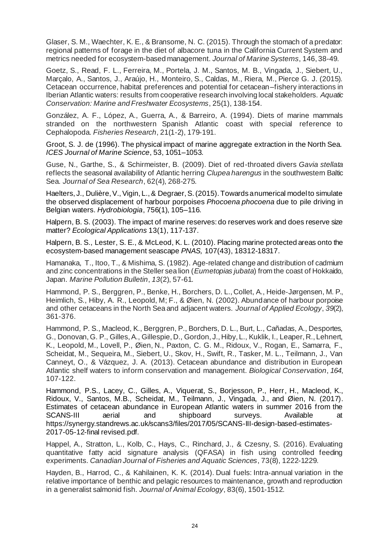Glaser, S. M., Waechter, K. E., & Bransome, N. C. (2015). Through the stomach of a predator: regional patterns of forage in the diet of albacore tuna in the California Current System and metrics needed for ecosystem-based management. *Journal of Marine Systems*, 146, 38-49.

Goetz, S., Read, F. L., Ferreira, M., Portela, J. M., Santos, M. B., Vingada, J., Siebert, U., Marçalo, A., Santos, J., Araújo, H., Monteiro, S., Caldas, M., Riera, M., Pierce G. J. (2015). Cetacean occurrence, habitat preferences and potential for cetacean–fishery interactions in Iberian Atlantic waters: results from cooperative research involving local stakeholders. *Aquatic Conservation: Marine and Freshwater Ecosystems*, 25(1), 138-154.

González, A. F., López, A., Guerra, A., & Barreiro, A. (1994). Diets of marine mammals stranded on the northwestern Spanish Atlantic coast with special reference to Cephalopoda. *Fisheries Research*, 21(1-2), 179-191.

Groot, S. J. de (1996). The physical impact of marine aggregate extraction in the North Sea. *ICES Journal of Marine Science*, 53, 1051–1053.

Guse, N., Garthe, S., & Schirmeister, B. (2009). Diet of red-throated divers *Gavia stellata* reflects the seasonal availability of Atlantic herring *Clupea harengus* in the southwestern Baltic Sea. *Journal of Sea Research*, 62(4), 268-275.

Haelters, J., Dulière, V., Vigin, L., & Degraer, S. (2015). Towards a numerical model to simulate the observed displacement of harbour porpoises *Phocoena phocoena* due to pile driving in Belgian waters. *Hydrobiologia*, 756(1), 105–116.

Halpern, B. S. (2003). The impact of marine reserves: do reserves work and does reserve size matter? *Ecological Applications* 13(1), 117-137.

Halpern, B. S., Lester, S. E., & McLeod, K. L. (2010). Placing marine protected areas onto the ecosystem-based management seascape *PNAS,* 107(43), 18312-18317.

Hamanaka, T., Itoo, T., & Mishima, S. (1982). Age-related change and distribution of cadmium and zinc concentrations in the Steller sea lion (*Eumetopias jubata*) from the coast of Hokkaido, Japan. *Marine Pollution Bulletin*, *13*(2), 57-61.

Hammond, P. S., Berggren, P., Benke, H., Borchers, D. L., Collet, A., Heide‐Jørgensen, M. P., Heimlich, S., Hiby, A. R., Leopold, M; F., & Øien, N. (2002). Abundance of harbour porpoise and other cetaceans in the North Sea and adjacent waters. *Journal of Applied Ecology*, *39*(2), 361-376.

Hammond, P. S., Macleod, K., Berggren, P., Borchers, D. L., Burt, L., Cañadas, A., Desportes, G., Donovan, G. P., Gilles, A., Gillespie, D., Gordon, J., Hiby, L., Kuklik, I., Leaper, R., Lehnert, K., Leopold, M., Lovell, P., Øien, N., Paxton, C. G. M., Ridoux, V., Rogan, E., Samarra, F., Scheidat, M., Sequeira, M., Siebert, U., Skov, H., Swift, R., Tasker, M. L., Teilmann, J., Van Canneyt, O., & Vázquez, J. A. (2013). Cetacean abundance and distribution in European Atlantic shelf waters to inform conservation and management. *Biological Conservation*, *164*, 107-122.

Hammond, P.S., Lacey, C., Gilles, A., Viquerat, S., Borjesson, P., Herr, H., Macleod, K., Ridoux, V., Santos, M.B., Scheidat, M., Teilmann, J., Vingada, J., and Øien, N. (2017). Estimates of cetacean abundance in European Atlantic waters in summer 2016 from the SCANS-III aerial and shipboard surveys. Available at [https://synergy.standrews.ac.uk/scans3/files/2017/05/SCANS-III-design-based-estimates-](https://synergy.standrews.ac.uk/scans3/files/2017/05/SCANS-III-design-based-estimates-2017-05-12-final)[2017-05-12-final](https://synergy.standrews.ac.uk/scans3/files/2017/05/SCANS-III-design-based-estimates-2017-05-12-final) revised.pdf.

Happel, A., Stratton, L., Kolb, C., Hays, C., Rinchard, J., & Czesny, S. (2016). Evaluating quantitative fatty acid signature analysis (QFASA) in fish using controlled feeding experiments. *Canadian Journal of Fisheries and Aquatic Sciences*, 73(8), 1222-1229.

Hayden, B., Harrod, C., & Kahilainen, K. K. (2014). Dual fuels: Intra-annual variation in the relative importance of benthic and pelagic resources to maintenance, growth and reproduction in a generalist salmonid fish. *Journal of Animal Ecology*, 83(6), 1501-1512.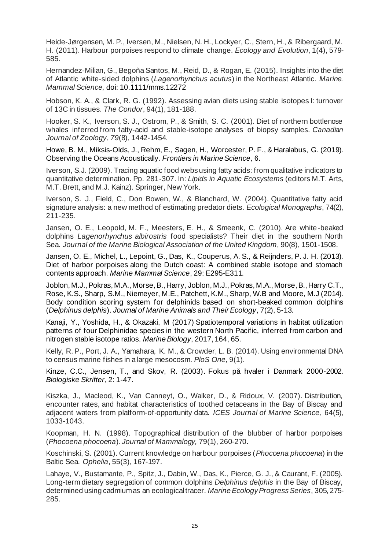Heide‐Jørgensen, M. P., Iversen, M., Nielsen, N. H., Lockyer, C., Stern, H., & Ribergaard, M. H. (2011). Harbour porpoises respond to climate change. *Ecology and Evolution*, 1(4), 579- 585.

Hernandez-Milian, G., Begoña Santos, M., Reid, D., & Rogan, E. (2015). Insights into the diet of Atlantic white-sided dolphins (*Lagenorhynchus acutus*) in the Northeast Atlantic. *Marine. Mammal Science,* doi: 10.1111/mms.12272

Hobson, K. A., & Clark, R. G. (1992). Assessing avian diets using stable isotopes I: turnover of 13C in tissues. *The Condor*, 94(1), 181-188.

Hooker, S. K., Iverson, S. J., Ostrom, P., & Smith, S. C. (2001). Diet of northern bottlenose whales inferred from fatty-acid and stable-isotope analyses of biopsy samples. *Canadian Journal of Zoology*, *79*(8), 1442-1454.

Howe, B. M., Miksis-Olds, J., Rehm, E., Sagen, H., Worcester, P. F., & Haralabus, G. (2019). Observing the Oceans Acoustically. *Frontiers in Marine Science,* 6.

Iverson, S.J. (2009). Tracing aquatic food webs using fatty acids: from qualitative indicators to quantitative determination. Pp. 281-307. In: *Lipids in Aquatic Ecosystems* (editors M.T. Arts, M.T. Brett, and M.J. Kainz). Springer, New York.

Iverson, S. J., Field, C., Don Bowen, W., & Blanchard, W. (2004). Quantitative fatty acid signature analysis: a new method of estimating predator diets. *Ecological Monographs*, 74(2), 211-235.

Jansen, O. E., Leopold, M. F., Meesters, E. H., & Smeenk, C. (2010). Are white-beaked dolphins *Lagenorhynchus albirostris* food specialists? Their diet in the southern North Sea. *Journal of the Marine Biological Association of the United Kingdom*, 90(8), 1501-1508.

Jansen, O. E., Michel, L., Lepoint, G., Das, K., Couperus, A. S., & Reijnders, P. J. H. (2013). Diet of harbor porpoises along the Dutch coast: A combined stable isotope and stomach contents approach. *Marine Mammal Science*, 29: E295-E311.

Joblon, M.J., Pokras, M.A., Morse, B., Harry, Joblon, M.J., Pokras, M.A., Morse, B., Harry C.T., Rose, K.S., Sharp, S.M., Niemeyer, M.E., Patchett, K.M., Sharp, W.B and Moore, M.J (2014). Body condition scoring system for delphinids based on short-beaked common dolphins (*Delphinus delphis*). *Journal of Marine Animals and Their Ecology*, 7(2), 5-13.

Kanaji, Y., Yoshida, H., & Okazaki, M (2017) Spatiotemporal variations in habitat utilization patterns of four Delphinidae species in the western North Pacific, inferred from carbon and nitrogen stable isotope ratios. *Marine Biology*, 2017, 164, 65.

Kelly, R. P., Port, J. A., Yamahara, K. M., & Crowder, L. B. (2014). Using environmental DNA to census marine fishes in a large mesocosm. *PloS One*, 9(1).

Kinze, C.C., Jensen, T., and Skov, R. (2003). Fokus på hvaler i Danmark 2000-2002. *Biologiske Skrifter*, 2: 1-47.

Kiszka, J., Macleod, K., Van Canneyt, O., Walker, D., & Ridoux, V. (2007). Distribution, encounter rates, and habitat characteristics of toothed cetaceans in the Bay of Biscay and adjacent waters from platform-of-opportunity data. *ICES Journal of Marine Science,* 64(5), 1033-1043.

Koopman, H. N. (1998). Topographical distribution of the blubber of harbor porpoises (*Phocoena phocoena*). *Journal of Mammalogy,* 79(1), 260-270.

Koschinski, S. (2001). Current knowledge on harbour porpoises (*Phocoena phocoena*) in the Baltic Sea. *Ophelia*, 55(3), 167-197.

Lahaye, V., Bustamante, P., Spitz, J., Dabin, W., Das, K., Pierce, G. J., & Caurant, F. (2005). Long-term dietary segregation of common dolphins *Delphinus delphis* in the Bay of Biscay, determined using cadmium as an ecological tracer. *Marine Ecology Progress Series*, 305, 275- 285.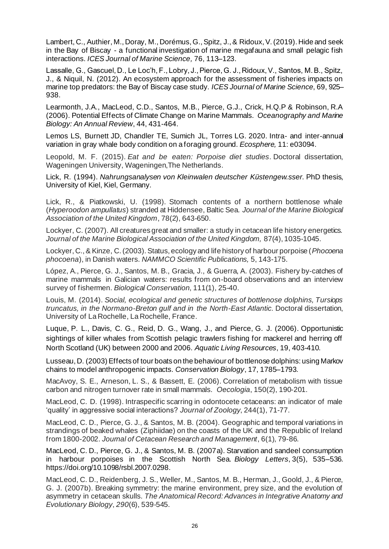Lambert, C., Authier, M., Doray, M., Dorémus,G., Spitz, J., & Ridoux,V. (2019). Hide and seek in the Bay of Biscay - a functional investigation of marine megafauna and small pelagic fish interactions. *ICES Journal of Marine Science,* 76, 113–123.

Lassalle, G., Gascuel, D., Le Loc'h, F., Lobry, J., Pierce, G. J., Ridoux, V., Santos, M. B., Spitz, J., & Niquil, N. (2012). An ecosystem approach for the assessment of fisheries impacts on marine top predators: the Bay of Biscay case study. *ICES Journal of Marine Science*, 69, 925– 938.

Learmonth, J.A., MacLeod, C.D., Santos, M.B., Pierce, G.J., Crick, H.Q.P & Robinson, R.A (2006). Potential Effects of Climate Change on Marine Mammals. *Oceanography and Marine Biology: An Annual Review*, 44, 431-464.

Lemos LS, Burnett JD, Chandler TE, Sumich JL, Torres LG. 2020. Intra- and inter-annual variation in gray whale body condition on a foraging ground. *Ecosphere,* 11: e03094.

Leopold, M. F. (2015). *Eat and be eaten: Porpoise diet studies.* Doctoral dissertation, Wageningen University, Wageningen,The Netherlands.

Lick, R. (1994). *Nahrungsanalysen von Kleinwalen deutscher Küstengew.sser*. PhD thesis, University of Kiel, Kiel, Germany.

Lick, R., & Piatkowski, U. (1998). Stomach contents of a northern bottlenose whale (*Hyperoodon ampullatus*) stranded at Hiddensee, Baltic Sea. *Journal of the Marine Biological Association of the United Kingdom*, 78(2), 643-650.

Lockyer, C. (2007). All creatures great and smaller: a study in cetacean life history energetics. *Journal of the Marine Biological Association of the United Kingdom,* 87(4), 1035-1045.

Lockyer, C., & Kinze, C. (2003). Status, ecology and life history of harbour porpoise (*Phocoena phocoena*), in Danish waters. *NAMMCO Scientific Publications,* 5, 143-175.

López, A., Pierce, G. J., Santos, M. B., Gracia, J., & Guerra, A. (2003). Fishery by-catches of marine mammals in Galician waters: results from on-board observations and an interview survey of fishermen. *Biological Conservation*, 111(1), 25-40.

Louis, M. (2014). *Social, ecological and genetic structures of bottlenose dolphins, Tursiops truncatus, in the Normano-Breton gulf and in the North-East Atlantic.* Doctoral dissertation, University of La Rochelle, La Rochelle, France.

Luque, P. L., Davis, C. G., Reid, D. G., Wang, J., and Pierce, G. J. (2006). Opportunistic sightings of killer whales from Scottish pelagic trawlers fishing for mackerel and herring off North Scotland (UK) between 2000 and 2006. *Aquatic Living Resources*, 19, 403-410.

Lusseau, D. (2003) Effects of tour boats on the behaviour of bottlenose dolphins: using Markov chains to model anthropogenic impacts. *Conservation Biology*, 17, 1785–1793.

MacAvoy, S. E., Arneson, L. S., & Bassett, E. (2006). Correlation of metabolism with tissue carbon and nitrogen turnover rate in small mammals. *Oecologia*, 150(2), 190-201.

MacLeod, C. D. (1998). Intraspecific scarring in odontocete cetaceans: an indicator of male 'quality' in aggressive social interactions? *Journal of Zoology*, 244(1), 71-77.

MacLeod, C. D., Pierce, G. J., & Santos, M. B. (2004). Geographic and temporal variations in strandings of beaked whales (Ziphiidae) on the coasts of the UK and the Republic of Ireland from 1800-2002. *Journal of Cetacean Research and Management*, 6(1), 79-86.

MacLeod, C. D., Pierce, G. J., & Santos, M. B. (2007a). Starvation and sandeel consumption in harbour porpoises in the Scottish North Sea. *Biology Letters*, 3(5), 535–536. https://doi.org/10.1098/rsbl.2007.0298.

MacLeod, C. D., Reidenberg, J. S., Weller, M., Santos, M. B., Herman, J., Goold, J., & Pierce, G. J. (2007b). Breaking symmetry: the marine environment, prey size, and the evolution of asymmetry in cetacean skulls. *The Anatomical Record: Advances in Integrative Anatomy and Evolutionary Biology*, *290*(6), 539-545.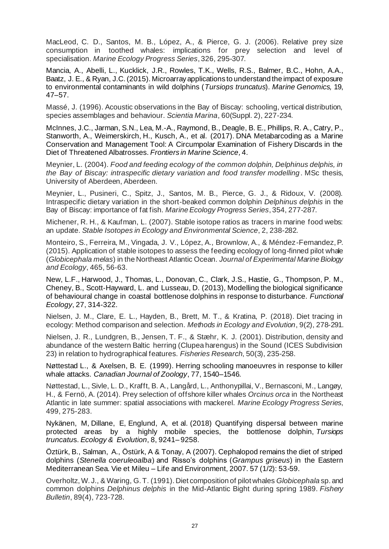MacLeod, C. D., Santos, M. B., López, A., & Pierce, G. J. (2006). Relative prey size consumption in toothed whales: implications for prey selection and level of specialisation. *Marine Ecology Progress Series*, 326, 295-307.

Mancia, A., Abelli, L., Kucklick, J.R., Rowles, T.K., Wells, R.S., Balmer, B.C., Hohn, A.A., Baatz, J. E., & Ryan, J.C. (2015). Microarray applications to understand the impact of exposure to environmental contaminants in wild dolphins (*Tursiops truncatus*). *Marine Genomics,* 19, 47–57.

Massé, J. (1996). Acoustic observations in the Bay of Biscay: schooling, vertical distribution, species assemblages and behaviour. *Scientia Marina*, 60(Suppl. 2), 227-234.

McInnes, J.C., Jarman, S.N., Lea, M.-A., Raymond, B., Deagle, B. E., Phillips, R. A., Catry, P., Stanworth, A., Weimerskirch, H., Kusch, A., et al. (2017). DNA Metabarcoding as a Marine Conservation and Management Tool: A Circumpolar Examination of Fishery Discards in the Diet of Threatened Albatrosses. *Frontiers in Marine Science,* 4.

Meynier, L. (2004). *Food and feeding ecology of the common dolphin, Delphinus delphis, in the Bay of Biscay: intraspecific dietary variation and food transfer modelling*. MSc thesis, University of Aberdeen, Aberdeen.

Meynier, L., Pusineri, C., Spitz, J., Santos, M. B., Pierce, G. J., & Ridoux, V. (2008). Intraspecific dietary variation in the short-beaked common dolphin *Delphinus delphis* in the Bay of Biscay: importance of fat fish. *Marine Ecology Progress Series*, 354, 277-287.

Michener, R. H., & Kaufman, L. (2007). Stable isotope ratios as tracers in marine food webs: an update. *Stable Isotopes in Ecology and Environmental Science*, 2, 238-282.

Monteiro, S., Ferreira, M., Vingada, J. V., López, A., Brownlow, A., & Méndez-Fernandez, P. (2015). Application of stable isotopes to assess the feeding ecology of long-finned pilot whale (*Globicephala melas*) in the Northeast Atlantic Ocean. *Journal of Experimental Marine Biology and Ecology*, 465, 56-63.

New, L.F., Harwood, J., Thomas, L., Donovan, C., Clark, J.S., Hastie, G., Thompson, P. M., Cheney, B., Scott‐Hayward, L. and Lusseau, D. (2013), Modelling the biological significance of behavioural change in coastal bottlenose dolphins in response to disturbance. *Functional Ecology*, 27, 314-322.

Nielsen, J. M., Clare, E. L., Hayden, B., Brett, M. T., & Kratina, P. (2018). Diet tracing in ecology: Method comparison and selection. *Methods in Ecology and Evolution*, 9(2), 278-291.

Nielsen, J. R., Lundgren, B., Jensen, T. F., & Stæhr, K. J. (2001). Distribution, density and abundance of the western Baltic herring (Clupea harengus) in the Sound (ICES Subdivision 23) in relation to hydrographical features. *Fisheries Research*, 50(3), 235-258.

Nøttestad L., & Axelsen, B. E. (1999). Herring schooling manoeuvres in response to killer whale attacks. *Canadian Journal of Zoology*, 77, 1540–1546.

Nøttestad, L., Sivle, L. D., Krafft, B. A., Langård, L., Anthonypillai, V., Bernasconi, M., Langøy, H., & Fernö, A. (2014). Prey selection of offshore killer whales *Orcinus orca* in the Northeast Atlantic in late summer: spatial associations with mackerel. *Marine Ecology Progress Series*, 499, 275-283.

Nykänen, M, Dillane, E, Englund, A, et al. (2018) Quantifying dispersal between marine protected areas by a highly mobile species, the bottlenose dolphin, *Tursiops truncatu*s. *Ecology & Evolution*, 8, 9241– 9258.

Öztürk, B., Salman, A., Östürk, A & Tonay, A (2007). Cephalopod remains the diet of striped dolphins (*Stenella coeruleoalba*) and Risso's dolphins (*Grampus griseus*) in the Eastern Mediterranean Sea. Vie et Mileu – Life and Environment, 2007. 57 (1/2): 53-59.

Overholtz, W. J., & Waring, G. T. (1991). Diet composition of pilot whales *Globicephala* sp. and common dolphins *Delphinus delphis* in the Mid-Atlantic Bight during spring 1989. *Fishery Bulletin*, 89(4), 723-728.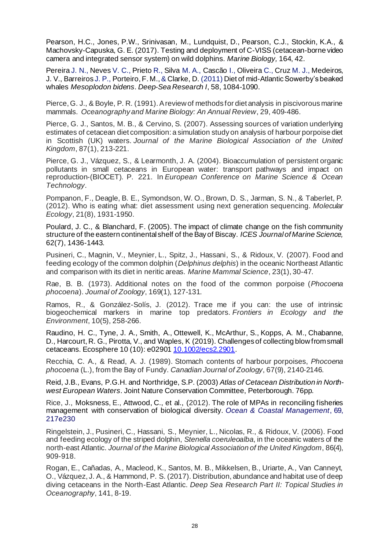Pearson, H.C., Jones, P.W., Srinivasan, M., Lundquist, D., Pearson, C.J., Stockin, K.A., & Machovsky-Capuska, G. E. (2017). Testing and deployment of C-VISS (cetacean-borne video camera and integrated sensor system) on wild dolphins. *Marine Biology,* 164, 42.

Pereira J. N., Neves V. C., Prieto R., Silva M. A., Cascão I., Oliveira C., Cruz M. J., Medeiros, J. V., Barreiros J. P., Porteiro, F. M., & Clarke, D. (2011) Diet of mid-Atlantic Sowerby's beaked whales *Mesoplodon bidens*. *Deep-Sea Research I*, 58, 1084-1090.

Pierce, G. J., & Boyle, P. R. (1991). A review of methods for diet analysis in piscivorous marine mammals. *Oceanography and Marine Biology: An Annual Review*, 29, 409-486.

Pierce, G. J., Santos, M. B., & Cervino, S. (2007). Assessing sources of variation underlying estimates of cetacean diet composition: a simulation study on analysis of harbour porpoise diet in Scottish (UK) waters. *Journal of the Marine Biological Association of the United Kingdom*, 87(1), 213-221.

Pierce, G. J., Vázquez, S., & Learmonth, J. A. (2004). Bioaccumulation of persistent organic pollutants in small cetaceans in European water: transport pathways and impact on reproduction-(BIOCET). P. 221. In *European Conference on Marine Science & Ocean Technology*.

Pompanon, F., Deagle, B. E., Symondson, W. O., Brown, D. S., Jarman, S. N., & Taberlet, P. (2012). Who is eating what: diet assessment using next generation sequencing. *Molecular Ecology*, 21(8), 1931-1950.

Poulard, J. C., & Blanchard, F. (2005). The impact of climate change on the fish community structure of the eastern continental shelf of the Bay of Biscay. *ICES Journal of Marine Science,*  62(7), 1436-1443.

Pusineri, C., Magnin, V., Meynier, L., Spitz, J., Hassani, S., & Ridoux, V. (2007). Food and feeding ecology of the common dolphin (*Delphinus delphis*) in the oceanic Northeast Atlantic and comparison with its diet in neritic areas. *Marine Mammal Science*, 23(1), 30-47.

Rae, B. B. (1973). Additional notes on the food of the common porpoise (*Phocoena phocoena*). *Journal of Zoology*, 169(1), 127-131.

Ramos, R., & González-Solís, J. (2012). Trace me if you can: the use of intrinsic biogeochemical markers in marine top predators. *Frontiers in Ecology and the Environment*, 10(5), 258-266.

Raudino, H. C., Tyne, J. A., Smith, A., Ottewell, K., McArthur, S., Kopps, A. M., Chabanne, D., Harcourt, R. G., Pirotta, V., and Waples, K (2019). Challenges of collecting blow from small cetaceans. Ecosphere 10 (10): e02901 [10.1002/ecs2.2901](https://doi.org/10.1002/ecs2.2901).

Recchia, C. A., & Read, A. J. (1989). Stomach contents of harbour porpoises, *Phocoena phocoena* (L.), from the Bay of Fundy. *Canadian Journal of Zoology*, 67(9), 2140-2146.

Reid, J.B., Evans, P.G.H. and Northridge, S.P. (2003) *Atlas of Cetacean Distribution in Northwest European Waters*. Joint Nature Conservation Committee, Peterborough. 76pp.

Rice, J., Moksness, E., Attwood, C., et al., (2012). The role of MPAs in reconciling fisheries management with conservation of biological diversity. *Ocean & Coastal Management*, 69, 217e230

Ringelstein, J., Pusineri, C., Hassani, S., Meynier, L., Nicolas, R., & Ridoux, V. (2006). Food and feeding ecology of the striped dolphin, *Stenella coeruleoalba*, in the oceanic waters of the north-east Atlantic. *Journal of the Marine Biological Association of the United Kingdom*, 86(4), 909-918.

Rogan, E., Cañadas, A., Macleod, K., Santos, M. B., Mikkelsen, B., Uriarte, A., Van Canneyt, O., Vázquez, J. A., & Hammond, P. S. (2017). Distribution, abundance and habitat use of deep diving cetaceans in the North-East Atlantic. *Deep Sea Research Part II: Topical Studies in Oceanography*, 141, 8-19.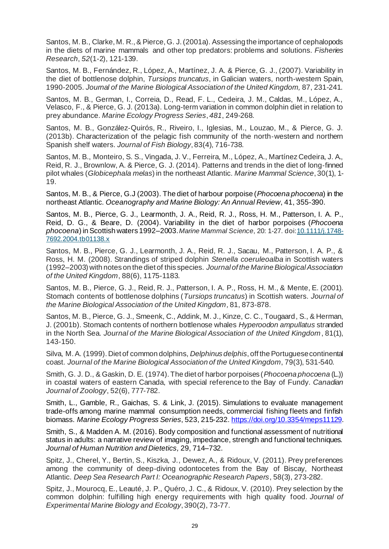Santos, M. B., Clarke, M. R., & Pierce, G. J. (2001a). Assessing the importance of cephalopods in the diets of marine mammals and other top predators: problems and solutions. *Fisheries Research*, *52*(1-2), 121-139.

Santos, M. B., Fernández, R., López, A., Martínez, J. A. & Pierce, G. J., (2007). Variability in the diet of bottlenose dolphin, *Tursiops truncatus*, in Galician waters, north-western Spain, 1990-2005. *Journal of the Marine Biological Association of the United Kingdom,* 87, 231-241.

Santos, M. B., German, I., Correia, D., Read, F. L., Cedeira, J. M., Caldas, M., López, A., Velasco, F., & Pierce, G. J. (2013a). Long-term variation in common dolphin diet in relation to prey abundance. *Marine Ecology Progress Series*, *481*, 249-268.

Santos, M. B., González‐Quirós, R., Riveiro, I., Iglesias, M., Louzao, M., & Pierce, G. J. (2013b). Characterization of the pelagic fish community of the north‐western and northern Spanish shelf waters. *Journal of Fish Biology*, 83(4), 716-738.

Santos, M. B., Monteiro, S. S., Vingada, J. V., Ferreira, M., López, A., Martínez Cedeira, J. A., Reid, R. J., Brownlow, A. & Pierce, G. J. (2014). Patterns and trends in the diet of long‐finned pilot whales (*Globicephala melas*) in the northeast Atlantic. *Marine Mammal Science*, 30(1), 1- 19.

Santos, M. B., & Pierce, G.J (2003). The diet of harbour porpoise (*Phocoena phocoena*) in the northeast Atlantic. *Oceanography and Marine Biology: An Annual Review*, 41, 355-390.

Santos, M. B., Pierce, G. J., Learmonth, J. A., Reid, R. J., Ross, H. M., Patterson, I. A. P., Reid, D. G., & Beare, D. (2004). Variability in the diet of harbor porpoises (*Phocoena phocoena*) in Scottish waters 1992–2003. *Marine Mammal Science*, 20: 1-27. do[i:10.1111/j.1748-](https://doi.org/10.1111/j.1748-7692.2004.tb01138.x) [7692.2004.tb01138.x](https://doi.org/10.1111/j.1748-7692.2004.tb01138.x)

Santos, M. B., Pierce, G. J., Learmonth, J. A., Reid, R. J., Sacau, M., Patterson, I. A. P., & Ross, H. M. (2008). Strandings of striped dolphin *Stenella coeruleoalba* in Scottish waters (1992–2003) with notes on the diet of this species. *Journal of the Marine Biological Association of the United Kingdom*, 88(6), 1175-1183.

Santos, M. B., Pierce, G. J., Reid, R. J., Patterson, I. A. P., Ross, H. M., & Mente, E. (2001). Stomach contents of bottlenose dolphins (*Tursiops truncatus*) in Scottish waters. *Journal of the Marine Biological Association of the United Kingdom,* 81, 873-878.

Santos, M. B., Pierce, G. J., Smeenk, C., Addink, M. J., Kinze, C. C., Tougaard, S., & Herman, J. (2001b). Stomach contents of northern bottlenose whales *Hyperoodon ampullatus* stranded in the North Sea. *Journal of the Marine Biological Association of the United Kingdom*, 81(1), 143-150.

Silva, M. A. (1999). Diet of common dolphins, *Delphinus delphis*, off the Portuguese continental coast. *Journal of the Marine Biological Association of the United Kingdom*, 79(3), 531-540.

Smith, G. J. D., & Gaskin, D. E. (1974). The diet of harbor porpoises (*Phocoena phocoena* (L.)) in coastal waters of eastern Canada, with special reference to the Bay of Fundy. *Canadian Journal of Zoology*, 52(6), 777-782.

Smith, L., Gamble, R., Gaichas, S. & Link, J. (2015). Simulations to evaluate management trade-offs among marine mammal consumption needs, commercial fishing fleets and finfish biomass. *Marine Ecology Progress Series*, 523, 215-232. [https://doi.org/10.3354/meps11129.](https://doi.org/10.3354/meps11129)

Smith, S., & Madden A. M. (2016). Body composition and functional assessment of nutritional status in adults: a narrative review of imaging, impedance, strength and functional techniques. *Journal of Human Nutrition and Dietetics,* 29, 714–732.

Spitz, J., Cherel, Y., Bertin, S., Kiszka, J., Dewez, A., & Ridoux, V. (2011). Prey preferences among the community of deep-diving odontocetes from the Bay of Biscay, Northeast Atlantic. *Deep Sea Research Part I: Oceanographic Research Papers*, 58(3), 273-282.

Spitz, J., Mourocq, E., Leauté, J. P., Quéro, J. C., & Ridoux, V. (2010). Prey selection by the common dolphin: fulfilling high energy requirements with high quality food. *Journal of Experimental Marine Biology and Ecology*, 390(2), 73-77.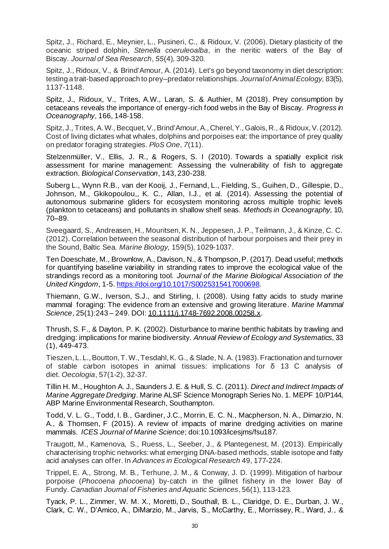Spitz, J., Richard, E., Meynier, L., Pusineri, C., & Ridoux, V. (2006). Dietary plasticity of the oceanic striped dolphin, *Stenella coeruleoalba*, in the neritic waters of the Bay of Biscay. *Journal of Sea Research*, *55*(4), 309-320.

Spitz, J., Ridoux, V., & Brind'Amour, A. (2014). Let's go beyond taxonomy in diet description: testing a trait‐based approach to prey–predator relationships. *Journal of Animal Ecology,* 83(5), 1137-1148.

Spitz, J., Ridoux, V., Trites, A.W., Laran, S. & Authier, M (2018). Prey consumption by cetaceans reveals the importance of energy-rich food webs in the Bay of Biscay. *Progress in Oceanography*, 166, 148-158.

Spitz, J., Trites, A. W., Becquet, V., Brind'Amour, A., Cherel, Y., Galois, R., & Ridoux, V. (2012). Cost of living dictates what whales, dolphins and porpoises eat: the importance of prey quality on predator foraging strategies. *PloS One*, *7*(11).

Stelzenmüller, V., Ellis, J. R., & Rogers, S. I (2010). Towards a spatially explicit risk assessment for marine management: Assessing the vulnerability of fish to aggregate extraction. *Biological Conservation*, 143, 230-238.

Suberg L., Wynn R.B., van der Kooij, J., Fernand, L., Fielding, S., Guihen, D., Gillespie, D., Johnson, M., Gkikopoulou,, K. C., Allan, I.J., et al. (2014). Assessing the potential of autonomous submarine gliders for ecosystem monitoring across multiple trophic levels (plankton to cetaceans) and pollutants in shallow shelf seas. *Methods in Oceanography,* 10, 70–89.

Sveegaard, S., Andreasen, H., Mouritsen, K. N., Jeppesen, J. P., Teilmann, J., & Kinze, C. C. (2012). Correlation between the seasonal distribution of harbour porpoises and their prey in the Sound, Baltic Sea*. Marine Biology,* 159(5), 1029-1037.

Ten Doeschate, M., Brownlow, A., Davison, N., & Thompson, P. (2017). Dead useful; methods for quantifying baseline variability in stranding rates to improve the ecological value of the strandings record as a monitoring tool. *Journal of the Marine Biological Association of the United Kingdom*, 1-5[. https://doi.org/10.1017/S0025315417000698](https://doi.org/10.1017/S0025315417000698).

Thiemann, G.W., Iverson, S.J., and Stirling, I. (2008). Using fatty acids to study marine mammal foraging: The evidence from an extensive and growing literature. *Marine Mammal Science*, 25(1):243 – 249. DOI[: 10.1111/j.1748-7692.2008.00258.x](https://www.researchgate.net/deref/http%3A%2F%2Fdx.doi.org%2F10.1111%2Fj.1748-7692.2008.00258.x?_sg%5B0%5D=Ia6YmEm2ksmo1uvbhyAgOTMjFfYnOUX-JXpS-yhzmc3-FIbb1287ErdHaRcAZE4g1SW9eLJpUNVE-MjEdYZLosraJQ.rCOrsJfYwnDKpl5RQGceHzAfZ7p7M-f7WMhETx0rpc_wXX7CwDME4EHwhITZtZu2MXq5UrtDeoyfLmHGBmzotQ).

Thrush, S. F., & Dayton, P. K. (2002). Disturbance to marine benthic habitats by trawling and dredging: implications for marine biodiversity. *Annual Review of Ecology and Systematics*, 33 (1), 449-473.

Tieszen, L. L., Boutton, T. W., Tesdahl, K. G., & Slade, N. A. (1983). Fractionation and turnover of stable carbon isotopes in animal tissues: implications for δ 13 C analysis of diet. *Oecologia*, 57(1-2), 32-37.

Tillin H. M., Houghton A. J., Saunders J. E. & Hull, S. C. (2011). *Direct and Indirect Impacts of Marine Aggregate Dredging*. Marine ALSF Science Monograph Series No. 1. MEPF 10/P144, ABP Marine Environmental Research, Southampton.

Todd, V. L. G., Todd, I. B., Gardiner, J.C., Morrin, E. C. N., Macpherson, N. A., Dimarzio, N. A., & Thomsen, F (2015). A review of impacts of marine dredging activities on marine mammals. *ICES Journal of Marine Science*; doi:10.1093/icesjms/fsu187.

Traugott, M., Kamenova, S., Ruess, L., Seeber, J., & Plantegenest, M. (2013). Empirically characterising trophic networks: what emerging DNA-based methods, stable isotope and fatty acid analyses can offer. In *Advances in Ecological Research* 49, 177-224.

Trippel, E. A., Strong, M. B., Terhune, J. M., & Conway, J. D. (1999). Mitigation of harbour porpoise (*Phocoena phocoena*) by-catch in the gillnet fishery in the lower Bay of Fundy. *Canadian Journal of Fisheries and Aquatic Sciences*, 56(1), 113-123.

Tyack, P. L., Zimmer, W. M. X., Moretti, D., Southall, B. L., Claridge, D. E., Durban, J. W., Clark, C. W., D'Amico, A., DiMarzio, M., Jarvis, S., McCarthy, E., Morrissey, R., Ward, J., &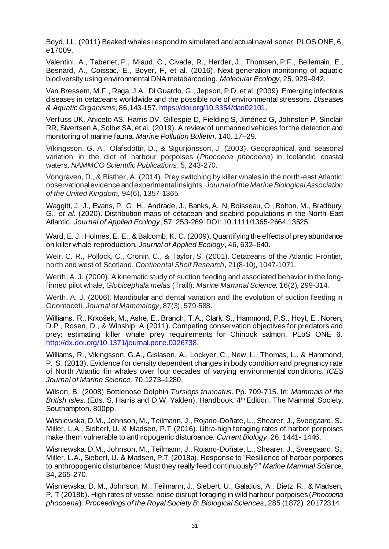Boyd, I.L. (2011) Beaked whales respond to simulated and actual naval sonar. PLOS ONE, 6, e17009.

Valentini, A., Taberlet, P., Miaud, C., Civade, R., Herder, J., Thomsen, P.F., Bellemain, E., Besnard, A., Coissac, E., Boyer, F, et al. (2016). Next-generation monitoring of aquatic biodiversity using environmental DNA metabarcoding. *Molecular Ecology,* 25, 929–942.

Van Bressem, M.F., Raga, J.A., Di Guardo, G., Jepson, P.D. et al. (2009). Emerging infectious diseases in cetaceans worldwide and the possible role of environmental stressors. *Diseases & Aquatic Organisms*, 86,143-157. <https://doi.org/10.3354/dao02101>.

Verfuss UK, Aniceto AS, Harris DV, Gillespie D, Fielding S, Jiménez G, Johnston P, Sinclair RR, Sivertsen A, Solbø SA, et al. (2019). A review of unmanned vehicles for the detection and monitoring of marine fauna. *Marine Pollution Bulletin,* 140, 17–29.

Víkingsson, G. A., Ólafsdóttir, D., & Sigurjónsson, J. (2003). Geographical, and seasonal variation in the diet of harbour porpoises (*Phocoena phocoena*) in Icelandic coastal waters. *NAMMCO Scientific Publications*, 5, 243-270.

Vongraven, D., & Bisther, A. (2014). Prey switching by killer whales in the north-east Atlantic: observational evidence and experimental insights. *Journal of the Marine Biological Association of the United Kingdom,* 94(6), 1357-1365.

Waggitt, J. J., Evans, P. G. H., Andrade, J., Banks, A. N, Boisseau, O., Bolton, M., Bradbury, G., *et al.* (2020). Distribution maps of cetacean and seabird populations in the North-East Atlantic. *Journal of Applied Ecology*, 57: 253-269. DOI: 10.1111/1365-2664.13525.

Ward, E. J., Holmes, E. E., & Balcomb, K. C. (2009). Quantifying the effects of prey abundance on killer whale reproduction. *Journal of Applied Ecology*, 46, 632–640.

Weir, C. R., Pollock, C., Cronin, C., & Taylor, S. (2001). Cetaceans of the Atlantic Frontier, north and west of Scotland. *Continental Shelf Research*, 21(8-10), 1047-1071.

Werth, A. J. (2000). A kinematic study of suction feeding and associated behavior in the longfinned pilot whale, *Globicephala melas* (Traill). *Marine Mammal Science,* 16(2), 299-314.

Werth, A. J. (2006). Mandibular and dental variation and the evolution of suction feeding in Odontoceti. *Journal of Mammalogy*, 87(3), 579-588.

Williams, R., Krkošek, M., Ashe, E., Branch, T.A., Clark, S., Hammond, P.S., Hoyt, E., Noren, D.P., Rosen, D., & Winship, A (2011). Competing conservation objectives for predators and prey: estimating killer whale prey requirements for Chinook salmon. PLoS ONE 6. <http://dx.doi.org/10.1371/journal.pone.0026738>.

Williams, R., Vikingsson, G.A., Gislason, A., Lockyer, C., New, L., Thomas, L., & Hammond, P. S. (2013). Evidence for density dependent changes in body condition and pregnancy rate of North Atlantic fin whales over four decades of varying environmental conditions. *ICES Journal of Marine Science*, 70,1273–1280.

Wilson, B. (2008) Bottlenose Dolphin *Tursiops truncatus*. Pp. 709-715. In: *Mammals of the* British Isles. (Eds. S. Harris and D.W. Yalden). Handbook. 4<sup>th</sup> Edition. The Mammal Society, Southampton. 800pp.

Wisniewska, D.M., Johnson, M., Teilmann, J., Rojano-Doñate, L., Shearer, J., Sveegaard, S., Miller, L.A., Siebert, U. & Madsen, P.T (2016). Ultra-high foraging rates of harbor porpoises make them vulnerable to anthropogenic disturbance. *Current Biology*, 26, 1441- 1446.

Wisniewska, D.M., Johnson, M., Teilmann, J., Rojano‐Doñate, L., Shearer, J., Sveegaard, S., Miller, L.A., Siebert, U. & Madsen, P.T (2018a). Response to "Resilience of harbor porpoises to anthropogenic disturbance: Must they really feed continuously?" *Marine Mammal Scie*nce, 34, 265-270.

Wisniewska, D. M., Johnson, M., Teilmann, J., Siebert, U., Galatius, A., Dietz, R., & Madsen, P. T (2018b). High rates of vessel noise disrupt foraging in wild harbour porpoises (*Phocoena phocoena*). *Proceedings of the Royal Society B: Biological Sciences*, 285 (1872), 20172314.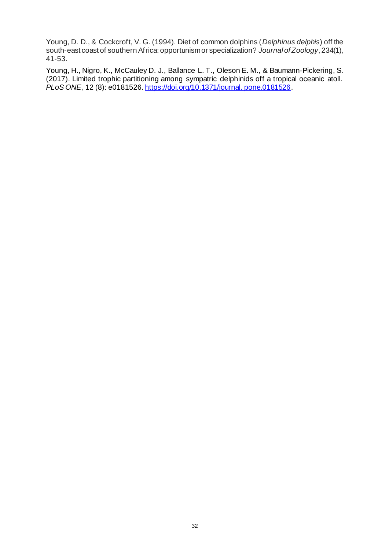Young, D. D., & Cockcroft, V. G. (1994). Diet of common dolphins (*Delphinus delphis*) off the south‐east coast of southern Africa: opportunism or specialization? *Journal of Zoology*, 234(1), 41-53.

Young, H., Nigro, K., McCauley D. J., Ballance L. T., Oleson E. M., & Baumann-Pickering, S. (2017). Limited trophic partitioning among sympatric delphinids off a tropical oceanic atoll. *PLoS ONE*, 12 (8): e0181526[. https://doi.org/10.1371/journal. pone.0181526](https://doi.org/10.1371/journal.%20pone.0181526).